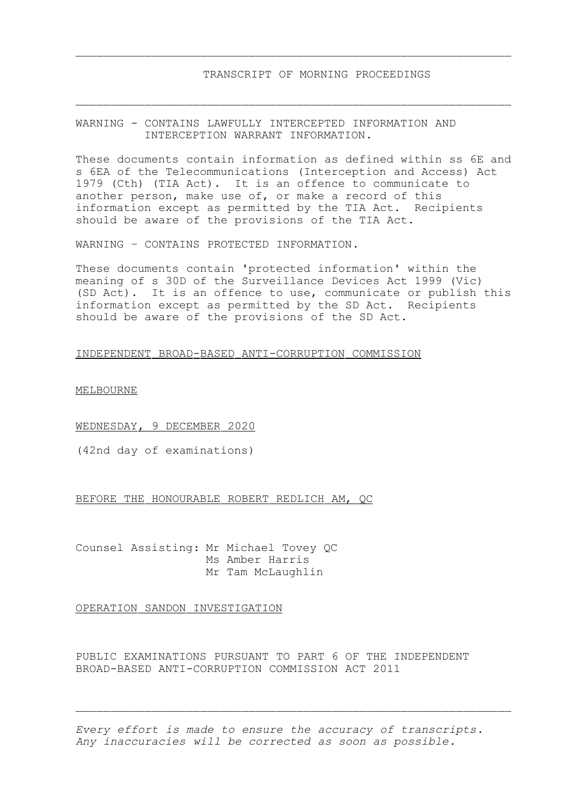## WARNING - CONTAINS LAWFULLY INTERCEPTED INFORMATION AND INTERCEPTION WARRANT INFORMATION.

These documents contain information as defined within ss 6E and s 6EA of the Telecommunications (Interception and Access) Act 1979 (Cth) (TIA Act). It is an offence to communicate to another person, make use of, or make a record of this information except as permitted by the TIA Act. Recipients should be aware of the provisions of the TIA Act.

 $\_$  , and the set of the set of the set of the set of the set of the set of the set of the set of the set of the set of the set of the set of the set of the set of the set of the set of the set of the set of the set of th

 $\_$  , and the set of the set of the set of the set of the set of the set of the set of the set of the set of the set of the set of the set of the set of the set of the set of the set of the set of the set of the set of th

WARNING – CONTAINS PROTECTED INFORMATION.

These documents contain 'protected information' within the meaning of s 30D of the Surveillance Devices Act 1999 (Vic) (SD Act). It is an offence to use, communicate or publish this information except as permitted by the SD Act. Recipients should be aware of the provisions of the SD Act.

## INDEPENDENT BROAD-BASED ANTI-CORRUPTION COMMISSION

MELBOURNE

## WEDNESDAY, 9 DECEMBER 2020

(42nd day of examinations)

## BEFORE THE HONOURABLE ROBERT REDLICH AM, QC

Counsel Assisting: Mr Michael Tovey QC Ms Amber Harris Mr Tam McLaughlin

OPERATION SANDON INVESTIGATION

PUBLIC EXAMINATIONS PURSUANT TO PART 6 OF THE INDEPENDENT BROAD-BASED ANTI-CORRUPTION COMMISSION ACT 2011

*Every effort is made to ensure the accuracy of transcripts. Any inaccuracies will be corrected as soon as possible.*

 $\mathcal{L}_\text{max} = \frac{1}{2} \sum_{i=1}^n \mathcal{L}_\text{max}(\mathbf{z}_i - \mathbf{z}_i)$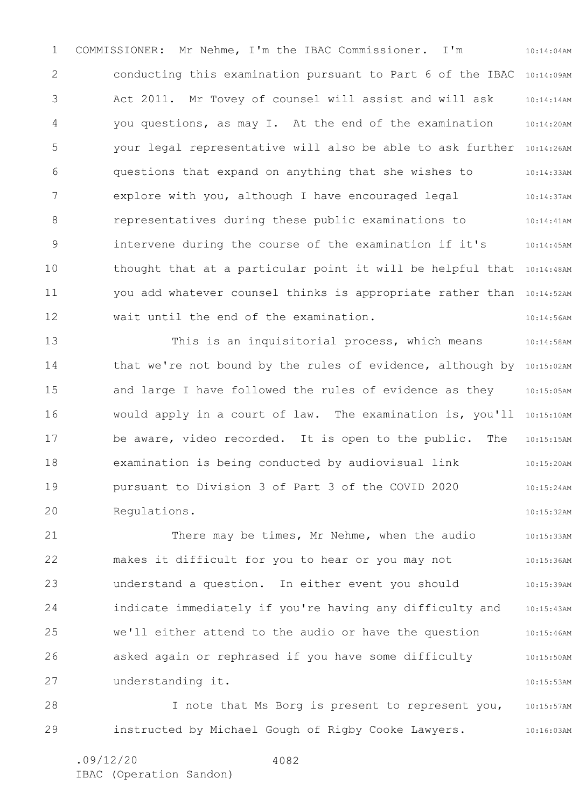1 2 3 4 5 6 7 8 9 10 11 12 10:14:04AM conducting this examination pursuant to Part 6 of the IBAC 10:14:09AM 10:14:14AM 10:14:20AM your legal representative will also be able to ask further 10:14:26AM 10:14:33AM 10:14:37AM 10:14:41AM 10:14:45AM thought that at a particular point it will be helpful that 10:14:48AM you add whatever counsel thinks is appropriate rather than 10:14:52AM 10:14:56AM COMMISSIONER: Mr Nehme, I'm the IBAC Commissioner. I'm Act 2011. Mr Tovey of counsel will assist and will ask you questions, as may I. At the end of the examination questions that expand on anything that she wishes to explore with you, although I have encouraged legal representatives during these public examinations to intervene during the course of the examination if it's wait until the end of the examination.

13 14 15 16 17 18 19 20 10:14:58AM that we're not bound by the rules of evidence, although by 10:15:02AM 10:15:05AM would apply in a court of law. The examination is, you'll 10:15:10AM 10:15:15AM 10:15:20AM 10:15:24AM 10:15:32AM This is an inquisitorial process, which means and large I have followed the rules of evidence as they be aware, video recorded. It is open to the public. The examination is being conducted by audiovisual link pursuant to Division 3 of Part 3 of the COVID 2020 Regulations.

21 22 23 24 25 26 27 10:15:33AM 10:15:36AM 10:15:39AM 10:15:43AM 10:15:46AM 10:15:50AM 10:15:53AM There may be times, Mr Nehme, when the audio makes it difficult for you to hear or you may not understand a question. In either event you should indicate immediately if you're having any difficulty and we'll either attend to the audio or have the question asked again or rephrased if you have some difficulty understanding it.

28 29 10:15:57AM 10:16:03AM I note that Ms Borg is present to represent you, instructed by Michael Gough of Rigby Cooke Lawyers.

.09/12/20 IBAC (Operation Sandon) 4082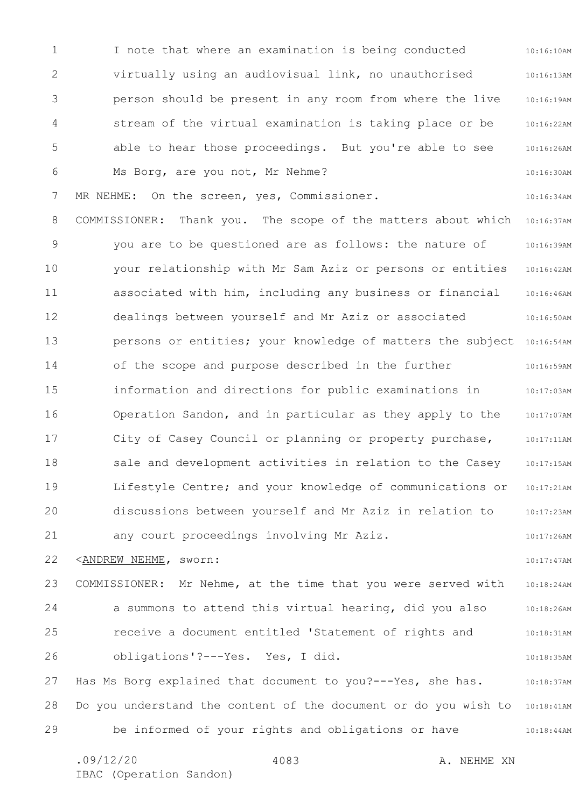1 2 3 4 5 6 7 8 9 10 11 12 13 14 15 16 17 18 19 20 21 22 23 24 25 26 27 28 29 10:16:10AM 10:16:13AM 10:16:19AM 10:16:22AM 10:16:26AM 10:16:30AM 10:16:34AM 10:16:37AM 10:16:39AM 10:16:42AM 10:16:46AM 10:16:50AM persons or entities; your knowledge of matters the subject 10:16:54AM 10:16:59AM 10:17:03AM 10:17:07AM 10:17:11AM 10:17:15AM 10:17:21AM 10:17:23AM 10:17:26AM 10:17:47AM 10:18:24AM 10:18:26AM 10:18:31AM 10:18:35AM 10:18:37AM Do you understand the content of the document or do you wish to 10:18:41AM 10:18:44AM I note that where an examination is being conducted virtually using an audiovisual link, no unauthorised person should be present in any room from where the live stream of the virtual examination is taking place or be able to hear those proceedings. But you're able to see Ms Borg, are you not, Mr Nehme? MR NEHME: On the screen, yes, Commissioner. COMMISSIONER: Thank you. The scope of the matters about which you are to be questioned are as follows: the nature of your relationship with Mr Sam Aziz or persons or entities associated with him, including any business or financial dealings between yourself and Mr Aziz or associated of the scope and purpose described in the further information and directions for public examinations in Operation Sandon, and in particular as they apply to the City of Casey Council or planning or property purchase, sale and development activities in relation to the Casey Lifestyle Centre; and your knowledge of communications or discussions between yourself and Mr Aziz in relation to any court proceedings involving Mr Aziz. <ANDREW NEHME, sworn: COMMISSIONER: Mr Nehme, at the time that you were served with a summons to attend this virtual hearing, did you also receive a document entitled 'Statement of rights and obligations'?---Yes. Yes, I did. Has Ms Borg explained that document to you?---Yes, she has. be informed of your rights and obligations or have

4083

.09/12/20 4083 A. NEHME XN IBAC (Operation Sandon)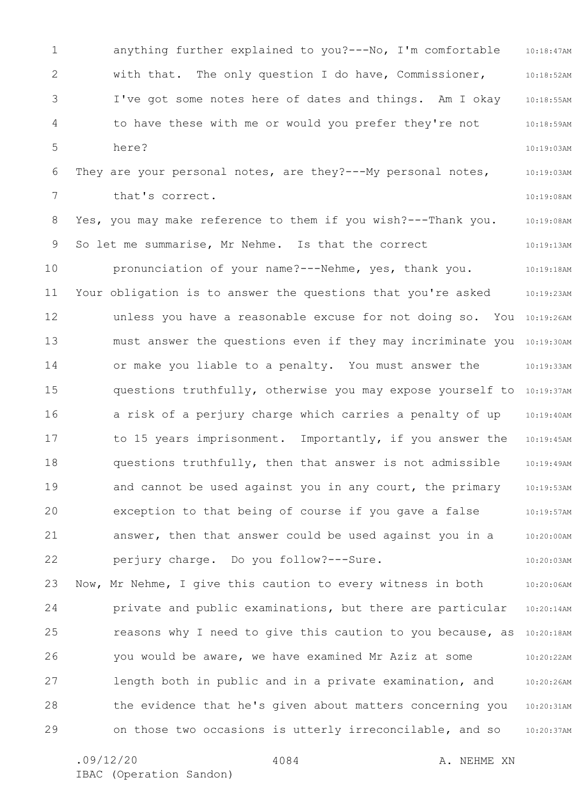1 2 3 4 5 6 7 8 9 10 11 12 13 14 15 16 17 18 19 20 21 22 23 24 25 26 27 28 29 10:18:47AM 10:18:52AM 10:18:55AM 10:18:59AM 10:19:03AM 10:19:03AM 10:19:08AM 10:19:08AM 10:19:13AM 10:19:18AM 10:19:23AM unless you have a reasonable excuse for not doing so. You 10:19:26AM must answer the questions even if they may incriminate you 10:19:30AM 10:19:33AM questions truthfully, otherwise you may expose yourself to 10:19:37AM 10:19:40AM 10:19:45AM 10:19:49AM 10:19:53AM 10:19:57AM 10:20:00AM 10:20:03AM 10:20:06AM 10:20:14AM reasons why I need to give this caution to you because, as 10:20:18AM 10:20:22AM 10:20:26AM 10:20:31AM 10:20:37AM anything further explained to you?---No, I'm comfortable with that. The only question I do have, Commissioner, I've got some notes here of dates and things. Am I okay to have these with me or would you prefer they're not here? They are your personal notes, are they?---My personal notes, that's correct. Yes, you may make reference to them if you wish?---Thank you. So let me summarise, Mr Nehme. Is that the correct pronunciation of your name?---Nehme, yes, thank you. Your obligation is to answer the questions that you're asked or make you liable to a penalty. You must answer the a risk of a perjury charge which carries a penalty of up to 15 years imprisonment. Importantly, if you answer the questions truthfully, then that answer is not admissible and cannot be used against you in any court, the primary exception to that being of course if you gave a false answer, then that answer could be used against you in a perjury charge. Do you follow?---Sure. Now, Mr Nehme, I give this caution to every witness in both private and public examinations, but there are particular you would be aware, we have examined Mr Aziz at some length both in public and in a private examination, and the evidence that he's given about matters concerning you on those two occasions is utterly irreconcilable, and so

4084

.09/12/20 4084 A. NEHME XN

IBAC (Operation Sandon)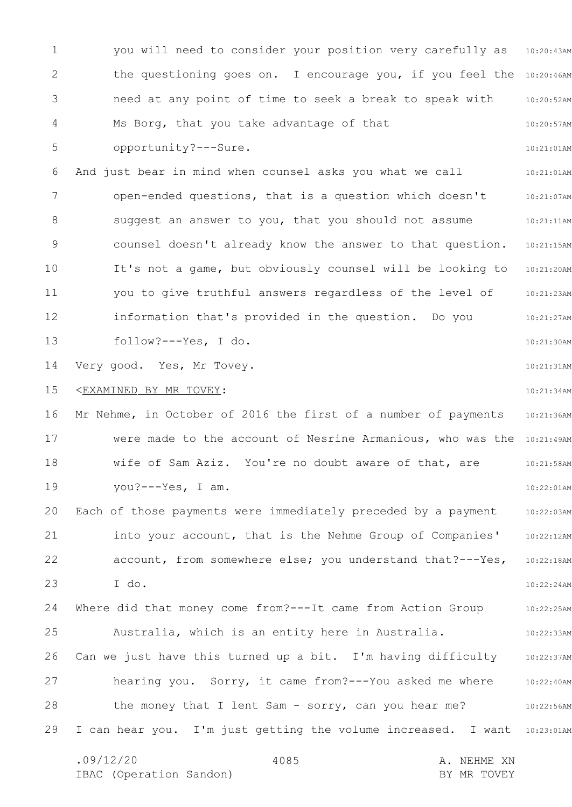1 2 3 4 5 6 7 8 9 10 11 12 13 14 15 16 17 18 19 20 21 22 23 24 25 26 27 28 29 you will need to consider your position very carefully as 10:20:43AM the questioning goes on. I encourage you, if you feel the 10:20:46AM 10:20:52AM 10:20:57AM 10:21:01AM 10:21:01AM 10:21:07AM 10:21:11AM 10:21:15AM 10:21:20AM 10:21:23AM 10:21:27AM 10:21:30AM 10:21:31AM 10:21:34AM 10:21:36AM were made to the account of Nesrine Armanious, who was the 10:21:49AM 10:21:58AM 10:22:01AM 10:22:03AM 10:22:12AM 10:22:18AM 10:22:24AM 10:22:25AM 10:22:33AM 10:22:37AM 10:22:40AM 10:22:56AM I can hear you. I'm just getting the volume increased. I want 10:23:01AM .09/12/20 4085 A. NEHME XN 4085 need at any point of time to seek a break to speak with Ms Borg, that you take advantage of that opportunity?---Sure. And just bear in mind when counsel asks you what we call open-ended questions, that is a question which doesn't suggest an answer to you, that you should not assume counsel doesn't already know the answer to that question. It's not a game, but obviously counsel will be looking to you to give truthful answers regardless of the level of information that's provided in the question. Do you follow?---Yes, I do. Very good. Yes, Mr Tovey. <EXAMINED BY MR TOVEY: Mr Nehme, in October of 2016 the first of a number of payments wife of Sam Aziz. You're no doubt aware of that, are you?---Yes, I am. Each of those payments were immediately preceded by a payment into your account, that is the Nehme Group of Companies' account, from somewhere else; you understand that?---Yes, I do. Where did that money come from?---It came from Action Group Australia, which is an entity here in Australia. Can we just have this turned up a bit. I'm having difficulty hearing you. Sorry, it came from?---You asked me where the money that I lent Sam - sorry, can you hear me?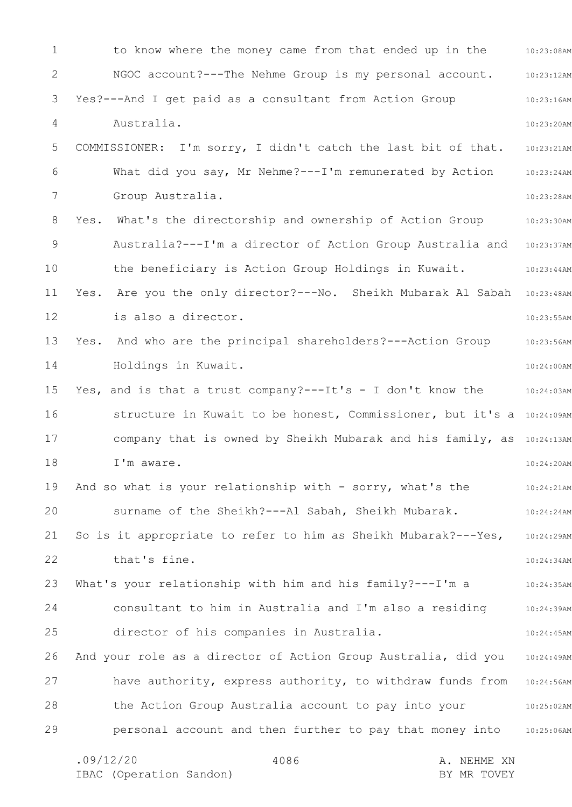1 2 3 4 5 6 7 8 9 10 11 12 13 14 15 16 17 18 19 20 21 22 23 24 25 26 27 28 29 10:23:08AM 10:23:12AM 10:23:16AM 10:23:20AM 10:23:21AM 10:23:24AM 10:23:28AM Yes. What's the directorship and ownership of Action Group 10:23:30AM 10:23:37AM 10:23:44AM Yes. Are you the only director?---No. Sheikh Mubarak Al Sabah 10:23:48AM 10:23:55AM 10:23:56AM 10:24:00AM 10:24:03AM structure in Kuwait to be honest, Commissioner, but it's a 10:24:09AM company that is owned by Sheikh Mubarak and his family, as 10:24:13AM 10:24:20AM 10:24:21AM 10:24:24AM 10:24:29AM 10:24:34AM 10:24:35AM 10:24:39AM 10:24:45AM 10:24:49AM have authority, express authority, to withdraw funds from 10:24:56AM 10:25:02AM 10:25:06AM .09/12/20 4086 4086 A. NEHME XN 4086 to know where the money came from that ended up in the NGOC account?---The Nehme Group is my personal account. Yes?---And I get paid as a consultant from Action Group Australia. COMMISSIONER: I'm sorry, I didn't catch the last bit of that. What did you say, Mr Nehme?---I'm remunerated by Action Group Australia. Australia?---I'm a director of Action Group Australia and the beneficiary is Action Group Holdings in Kuwait. is also a director. Yes. And who are the principal shareholders?---Action Group Holdings in Kuwait. Yes, and is that a trust company?---It's - I don't know the I'm aware. And so what is your relationship with - sorry, what's the surname of the Sheikh?---Al Sabah, Sheikh Mubarak. So is it appropriate to refer to him as Sheikh Mubarak?---Yes, that's fine. What's your relationship with him and his family?---I'm a consultant to him in Australia and I'm also a residing director of his companies in Australia. And your role as a director of Action Group Australia, did you the Action Group Australia account to pay into your personal account and then further to pay that money into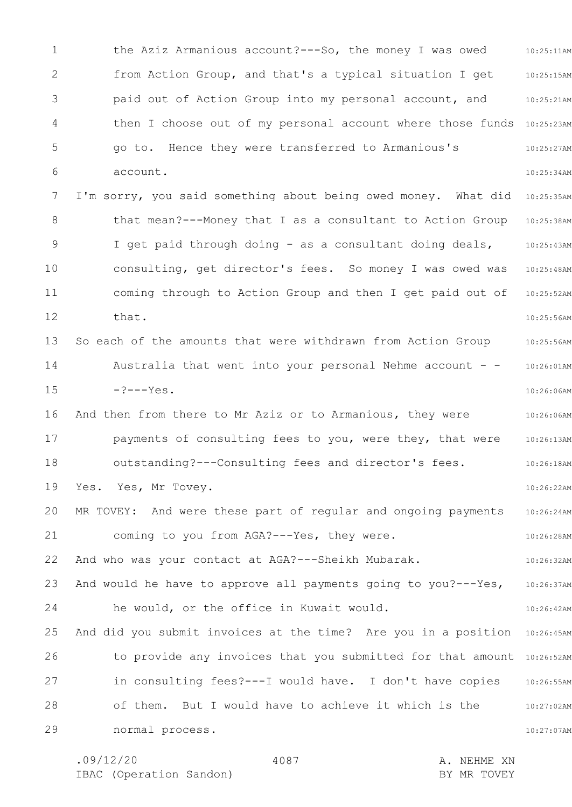1 2 3 4 5 6 7 8 9 10 11 12 13 14 15 16 17 18 19 20 21 22 23 24 25 26 27 28 29 10:25:11AM 10:25:15AM 10:25:21AM then I choose out of my personal account where those funds 10:25:23AM 10:25:27AM 10:25:34AM I'm sorry, you said something about being owed money. What did 10:25:35AM 10:25:38AM 10:25:43AM 10:25:48AM 10:25:52AM 10:25:56AM 10:25:56AM 10:26:01AM 10:26:06AM 10:26:06AM 10:26:13AM 10:26:18AM 10:26:22AM 10:26:24AM 10:26:28AM 10:26:32AM 10:26:37AM 10:26:42AM And did you submit invoices at the time? Are you in a position 10:26:45AM to provide any invoices that you submitted for that amount 10:26:52AM 10:26:55AM 10:27:02AM 10:27:07AM the Aziz Armanious account?---So, the money I was owed from Action Group, and that's a typical situation I get paid out of Action Group into my personal account, and go to. Hence they were transferred to Armanious's account. that mean?---Money that I as a consultant to Action Group I get paid through doing - as a consultant doing deals, consulting, get director's fees. So money I was owed was coming through to Action Group and then I get paid out of that. So each of the amounts that were withdrawn from Action Group Australia that went into your personal Nehme account  $-?---Yes.$ And then from there to Mr Aziz or to Armanious, they were payments of consulting fees to you, were they, that were outstanding?---Consulting fees and director's fees. Yes. Yes, Mr Tovey. MR TOVEY: And were these part of regular and ongoing payments coming to you from AGA?---Yes, they were. And who was your contact at AGA?---Sheikh Mubarak. And would he have to approve all payments going to you?---Yes, he would, or the office in Kuwait would. in consulting fees?---I would have. I don't have copies of them. But I would have to achieve it which is the normal process.

4087

.09/12/20 4087 4087 A. NEHME XN IBAC (Operation Sandon) and the set of the BY MR TOVEY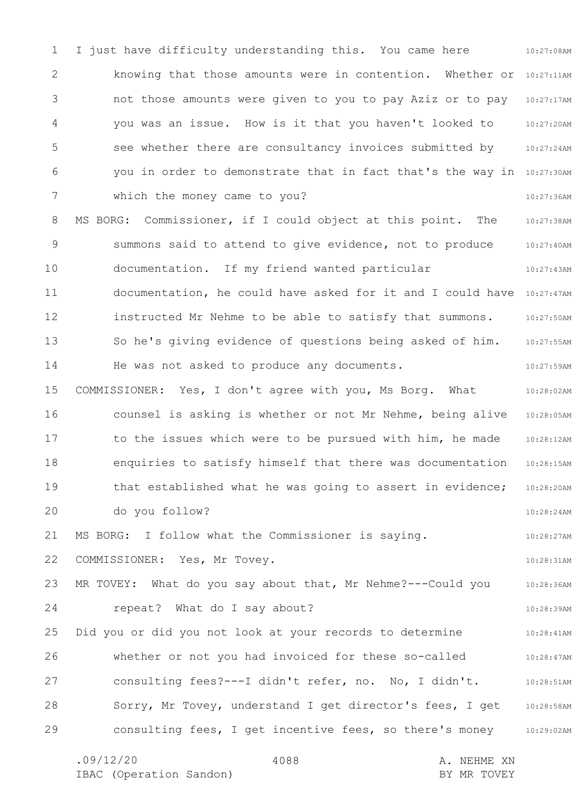1 2 3 4 5 6 7 8 9 10 11 12 13 14 15 16 17 18 19 20 21 22 23 24 25 26 27 28 29 10:27:08AM knowing that those amounts were in contention. Whether or 10:27:11AM 10:27:17AM 10:27:20AM 10:27:24AM you in order to demonstrate that in fact that's the way in 10:27:30AM 10:27:36AM MS BORG: Commissioner, if I could object at this point. The 10:27:38AM 10:27:40AM 10:27:43AM documentation, he could have asked for it and I could have 10:27:47AM 10:27:50AM 10:27:55AM 10:27:59AM 10:28:02AM 10:28:05AM 10:28:12AM 10:28:15AM 10:28:20AM 10:28:24AM 10:28:27AM 10:28:31AM 10:28:36AM 10:28:39AM 10:28:41AM 10:28:47AM 10:28:51AM 10:28:58AM consulting fees, I get incentive fees, so there's money 10:29:02AM I just have difficulty understanding this. You came here not those amounts were given to you to pay Aziz or to pay you was an issue. How is it that you haven't looked to see whether there are consultancy invoices submitted by which the money came to you? summons said to attend to give evidence, not to produce documentation. If my friend wanted particular instructed Mr Nehme to be able to satisfy that summons. So he's giving evidence of questions being asked of him. He was not asked to produce any documents. COMMISSIONER: Yes, I don't agree with you, Ms Borg. What counsel is asking is whether or not Mr Nehme, being alive to the issues which were to be pursued with him, he made enquiries to satisfy himself that there was documentation that established what he was going to assert in evidence; do you follow? MS BORG: I follow what the Commissioner is saying. COMMISSIONER: Yes, Mr Tovey. MR TOVEY: What do you say about that, Mr Nehme?---Could you repeat? What do I say about? Did you or did you not look at your records to determine whether or not you had invoiced for these so-called consulting fees?---I didn't refer, no. No, I didn't. Sorry, Mr Tovey, understand I get director's fees, I get

4088

.09/12/20 4088 A. NEHME XN IBAC (Operation Sandon) and the set of the BY MR TOVEY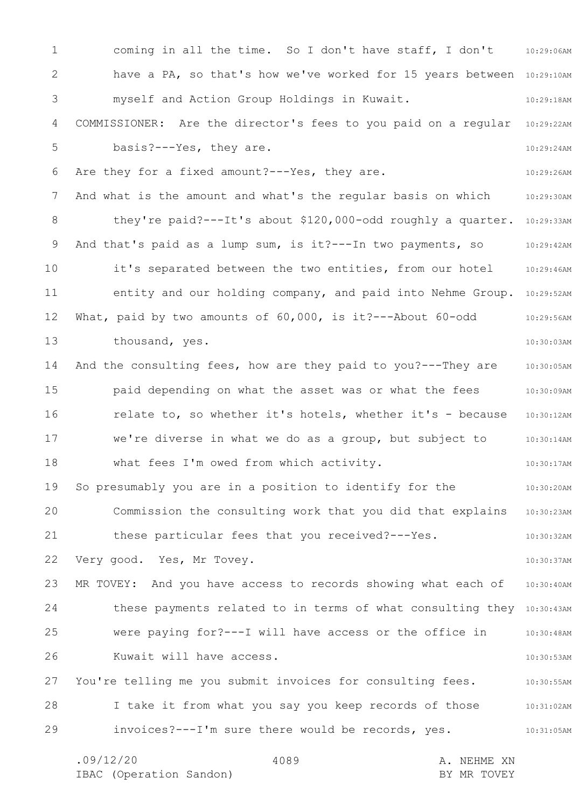1 2 3 4 5 6 7 8 9 10 11 12 13 14 15 16 17 18 19 20 21 22 23 24 25 26 27 28 29 coming in all the time. So I don't have staff, I don't 10:29:06AM have a PA, so that's how we've worked for 15 years between 10:29:10AM 10:29:18AM COMMISSIONER: Are the director's fees to you paid on a regular 10:29:22AM 10:29:24AM 10:29:26AM And what is the amount and what's the regular basis on which  $10:29:30$ AM they're paid? ---It's about \$120,000-odd roughly a quarter. 10:29:33AM 10:29:42AM 10:29:46AM entity and our holding company, and paid into Nehme Group. 10:29:52AM 10:29:56AM 10:30:03AM 10:30:05AM 10:30:09AM 10:30:12AM 10:30:14AM 10:30:17AM 10:30:20AM Commission the consulting work that you did that explains 10:30:23AM 10:30:32AM 10:30:37AM 10:30:40AM these payments related to in terms of what consulting they 10:30:43AM 10:30:48AM 10:30:53AM 10:30:55AM 10:31:02AM 10:31:05AM .09/12/20 4089 4089 A. NEHME XN IBAC (Operation Sandon) and the set of the BY MR TOVEY 4089 myself and Action Group Holdings in Kuwait. basis?---Yes, they are. Are they for a fixed amount?---Yes, they are. And that's paid as a lump sum, is it?---In two payments, so it's separated between the two entities, from our hotel What, paid by two amounts of 60,000, is it?---About 60-odd thousand, yes. And the consulting fees, how are they paid to you?---They are paid depending on what the asset was or what the fees relate to, so whether it's hotels, whether it's - because we're diverse in what we do as a group, but subject to what fees I'm owed from which activity. So presumably you are in a position to identify for the these particular fees that you received?---Yes. Very good. Yes, Mr Tovey. MR TOVEY: And you have access to records showing what each of were paying for?---I will have access or the office in Kuwait will have access. You're telling me you submit invoices for consulting fees. I take it from what you say you keep records of those invoices?---I'm sure there would be records, yes.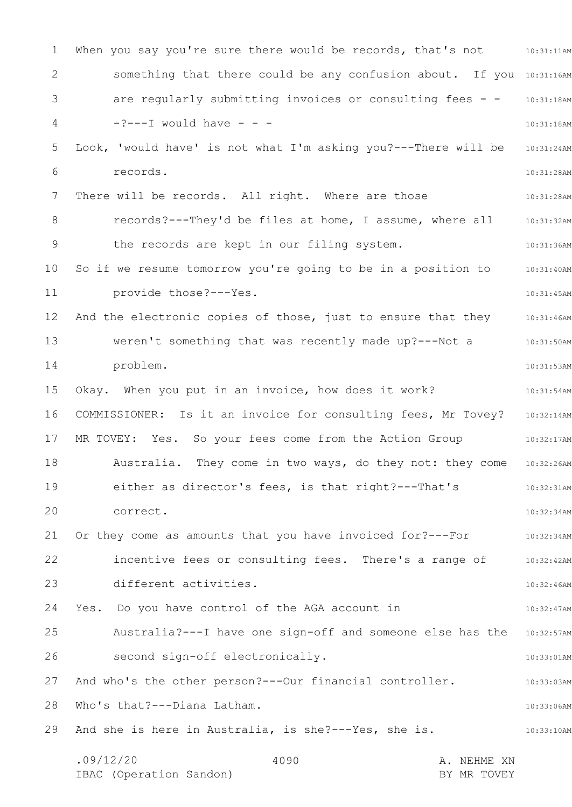1 2 3 4 5 6 7 8 9 10 11 12 13 14 15 16 17 18 19 20 21 22 23 24 25 26 27 28 29 When you say you're sure there would be records, that's not  $\qquad \qquad \, \, 10:31:11$ AM something that there could be any confusion about. If you 10:31:16AM are regularly submitting invoices or consulting fees - - 10:31:18AM 10:31:18AM Look, 'would have' is not what I'm asking you?---There will be 10:31:24AM 10:31:28AM 10:31:28AM records?---They'd be files at home, I assume, where all 10:31:32AM 10:31:36AM 10:31:40AM 10:31:45AM And the electronic copies of those, just to ensure that they 10:31:46AM 10:31:50AM 10:31:53AM 10:31:54AM COMMISSIONER: Is it an invoice for consulting fees, Mr Tovey? 10:32:14AM 10:32:17AM 10:32:26AM 10:32:31AM 10:32:34AM 10:32:34AM 10:32:42AM 10:32:46AM 10:32:47AM Australia?---I have one sign-off and someone else has the 10:32:57AM 10:33:01AM 10:33:03AM 10:33:06AM 10:33:10AM .09/12/20 4090 4090 A. NEHME XN IBAC (Operation Sandon) BY MR TOVEY 4090  $-$ ? $---$ I would have  $$ records. There will be records. All right. Where are those the records are kept in our filing system. So if we resume tomorrow you're going to be in a position to provide those?---Yes. weren't something that was recently made up?---Not a problem. Okay. When you put in an invoice, how does it work? MR TOVEY: Yes. So your fees come from the Action Group Australia. They come in two ways, do they not: they come either as director's fees, is that right?---That's correct. Or they come as amounts that you have invoiced for?---For incentive fees or consulting fees. There's a range of different activities. Yes. Do you have control of the AGA account in second sign-off electronically. And who's the other person?---Our financial controller. Who's that?---Diana Latham. And she is here in Australia, is she?---Yes, she is.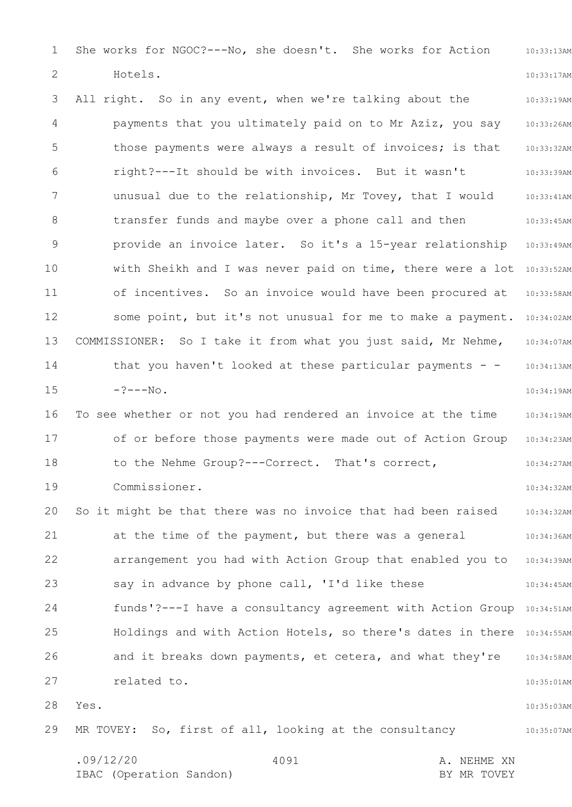1 2 3 4 5 6 7 8 9 10 11 12 13 14 15 16 17 18 19 20 21 22 23 24 25 26 27 28 29 10:33:13AM 10:33:17AM 10:33:19AM 10:33:26AM 10:33:32AM 10:33:39AM 10:33:41AM 10:33:45AM provide an invoice later. So it's a 15-year relationship 10:33:49AM with Sheikh and I was never paid on time, there were a lot 10:33:52AM 10:33:58AM some point, but it's not unusual for me to make a payment. 10:34:02AM 10:34:07AM 10:34:13AM 10:34:19AM 10:34:19AM of or before those payments were made out of Action Group 10:34:23AM 10:34:27AM 10:34:32AM 10:34:32AM 10:34:36AM 10:34:39AM 10:34:45AM funds'?---I have a consultancy agreement with Action Group 10:34:51AM Holdings and with Action Hotels, so there's dates in there 10:34:55AM 10:34:58AM 10:35:01AM 10:35:03AM 10:35:07AM She works for NGOC?---No, she doesn't. She works for Action Hotels. All right. So in any event, when we're talking about the payments that you ultimately paid on to Mr Aziz, you say those payments were always a result of invoices; is that right?---It should be with invoices. But it wasn't unusual due to the relationship, Mr Tovey, that I would transfer funds and maybe over a phone call and then of incentives. So an invoice would have been procured at COMMISSIONER: So I take it from what you just said, Mr Nehme, that you haven't looked at these particular payments  $-?---No.$ To see whether or not you had rendered an invoice at the time to the Nehme Group?---Correct. That's correct, Commissioner. So it might be that there was no invoice that had been raised at the time of the payment, but there was a general arrangement you had with Action Group that enabled you to say in advance by phone call, 'I'd like these and it breaks down payments, et cetera, and what they're related to. Yes. MR TOVEY: So, first of all, looking at the consultancy

.09/12/20 4091 4091 A. NEHME XN IBAC (Operation Sandon) and the set of the BY MR TOVEY 4091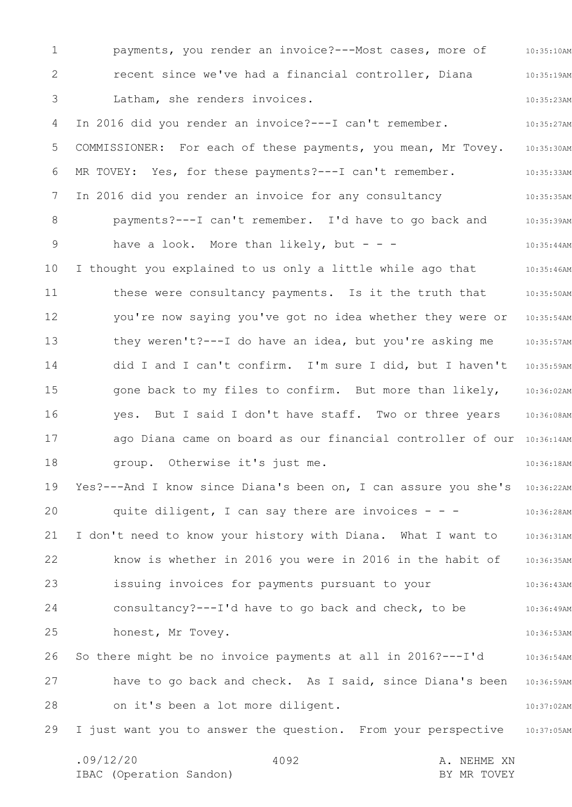1 2 3 4 5 6 7 8 9 10 11 12 13 14 15 16 17 18 19 20 21 22 23 24 25 26 27 28 29 10:35:10AM 10:35:19AM 10:35:23AM 10:35:27AM 10:35:30AM 10:35:33AM 10:35:35AM 10:35:39AM 10:35:44AM 10:35:46AM 10:35:50AM 10:35:54AM 10:35:57AM 10:35:59AM 10:36:02AM 10:36:08AM ago Diana came on board as our financial controller of our 10:36:14AM 10:36:18AM Yes?---And I know since Diana's been on, I can assure you she's 10:36:22AM 10:36:28AM 10:36:31AM 10:36:35AM 10:36:43AM 10:36:49AM 10:36:53AM 10:36:54AM have to go back and check. As I said, since Diana's been 10:36:59AM 10:37:02AM 10:37:05AM .09/12/20 4092 A. NEHME XN 4092 payments, you render an invoice?---Most cases, more of recent since we've had a financial controller, Diana Latham, she renders invoices. In 2016 did you render an invoice?---I can't remember. COMMISSIONER: For each of these payments, you mean, Mr Tovey. MR TOVEY: Yes, for these payments?---I can't remember. In 2016 did you render an invoice for any consultancy payments?---I can't remember. I'd have to go back and have a look. More than likely, but  $- -$ I thought you explained to us only a little while ago that these were consultancy payments. Is it the truth that you're now saying you've got no idea whether they were or they weren't?---I do have an idea, but you're asking me did I and I can't confirm. I'm sure I did, but I haven't gone back to my files to confirm. But more than likely, yes. But I said I don't have staff. Two or three years group. Otherwise it's just me. quite diligent, I can say there are invoices  $- -$ I don't need to know your history with Diana. What I want to know is whether in 2016 you were in 2016 in the habit of issuing invoices for payments pursuant to your consultancy?---I'd have to go back and check, to be honest, Mr Tovey. So there might be no invoice payments at all in 2016?---I'd on it's been a lot more diligent. I just want you to answer the question. From your perspective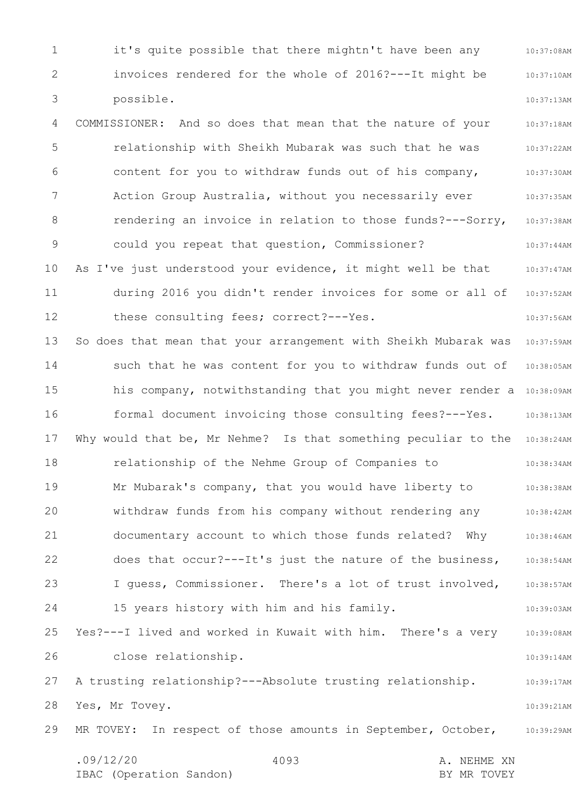1 2 3 4 5 6 7 8 9 10 11 12 13 14 15 16 17 18 19 20 21 22 23 24 25 26 27 28 29 10:37:08AM 10:37:10AM 10:37:13AM 10:37:18AM 10:37:22AM 10:37:30AM 10:37:35AM 10:37:38AM 10:37:44AM 10:37:47AM 10:37:52AM 10:37:56AM 10:37:59AM 10:38:05AM his company, notwithstanding that you might never render a 10:38:09AM 10:38:13AM Why would that be, Mr Nehme? Is that something peculiar to the 10:38:24AM 10:38:34AM 10:38:38AM 10:38:42AM 10:38:46AM 10:38:54AM 10:38:57AM 10:39:03AM 10:39:08AM 10:39:14AM 10:39:17AM 10:39:21AM MR TOVEY: In respect of those amounts in September, October, 10:39:29AM .09/12/20 4093 4093 A. NEHME XN IBAC (Operation Sandon) and the set of the BY MR TOVEY 4093 it's quite possible that there mightn't have been any invoices rendered for the whole of 2016?---It might be possible. COMMISSIONER: And so does that mean that the nature of your relationship with Sheikh Mubarak was such that he was content for you to withdraw funds out of his company, Action Group Australia, without you necessarily ever rendering an invoice in relation to those funds?---Sorry, could you repeat that question, Commissioner? As I've just understood your evidence, it might well be that during 2016 you didn't render invoices for some or all of these consulting fees; correct?---Yes. So does that mean that your arrangement with Sheikh Mubarak was such that he was content for you to withdraw funds out of formal document invoicing those consulting fees?---Yes. relationship of the Nehme Group of Companies to Mr Mubarak's company, that you would have liberty to withdraw funds from his company without rendering any documentary account to which those funds related? Why does that occur?---It's just the nature of the business, I guess, Commissioner. There's a lot of trust involved, 15 years history with him and his family. Yes?---I lived and worked in Kuwait with him. There's a very close relationship. A trusting relationship?---Absolute trusting relationship. Yes, Mr Tovey.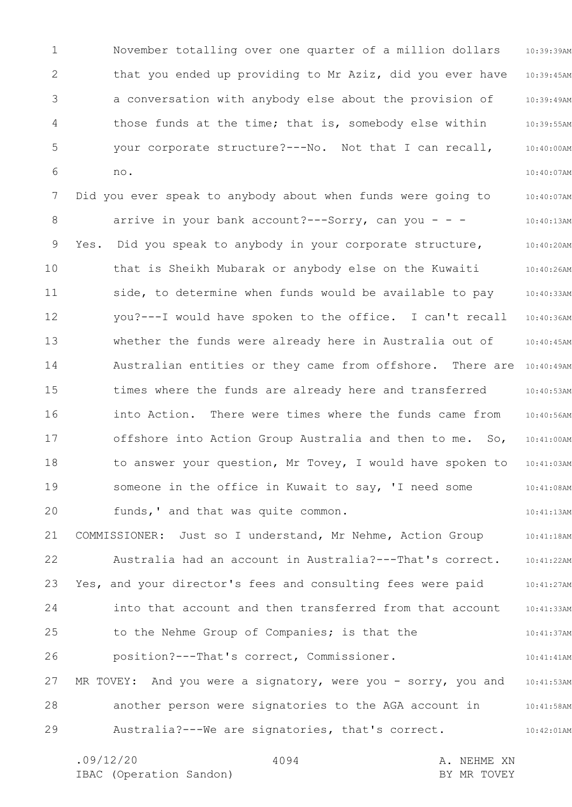1 2 3 4 5 6 10:39:39AM 10:39:45AM 10:39:49AM 10:39:55AM 10:40:00AM 10:40:07AM November totalling over one quarter of a million dollars that you ended up providing to Mr Aziz, did you ever have a conversation with anybody else about the provision of those funds at the time; that is, somebody else within your corporate structure?---No. Not that I can recall, no.

7 8 9 10 11 12 13 14 15 16 17 18 19 20 10:40:07AM 10:40:13AM 10:40:20AM 10:40:26AM 10:40:33AM 10:40:36AM 10:40:45AM Australian entities or they came from offshore. There are 10:40:49AM 10:40:53AM 10:40:56AM 10:41:00AM 10:41:03AM 10:41:08AM 10:41:13AM Did you ever speak to anybody about when funds were going to arrive in your bank account?---Sorry, can you - - - Yes. Did you speak to anybody in your corporate structure, that is Sheikh Mubarak or anybody else on the Kuwaiti side, to determine when funds would be available to pay you?---I would have spoken to the office. I can't recall whether the funds were already here in Australia out of times where the funds are already here and transferred into Action. There were times where the funds came from offshore into Action Group Australia and then to me. So, to answer your question, Mr Tovey, I would have spoken to someone in the office in Kuwait to say, 'I need some funds,' and that was quite common.

21 22 23 24 25 26 27 28 29 10:41:18AM 10:41:22AM 10:41:27AM 10:41:33AM 10:41:37AM 10:41:41AM 10:41:53AM 10:41:58AM 10:42:01AM COMMISSIONER: Just so I understand, Mr Nehme, Action Group Australia had an account in Australia?---That's correct. Yes, and your director's fees and consulting fees were paid into that account and then transferred from that account to the Nehme Group of Companies; is that the position?---That's correct, Commissioner. MR TOVEY: And you were a signatory, were you - sorry, you and another person were signatories to the AGA account in Australia?---We are signatories, that's correct.

.09/12/20 4094 4094 A. NEHME XN

IBAC (Operation Sandon) and the set of the BY MR TOVEY

4094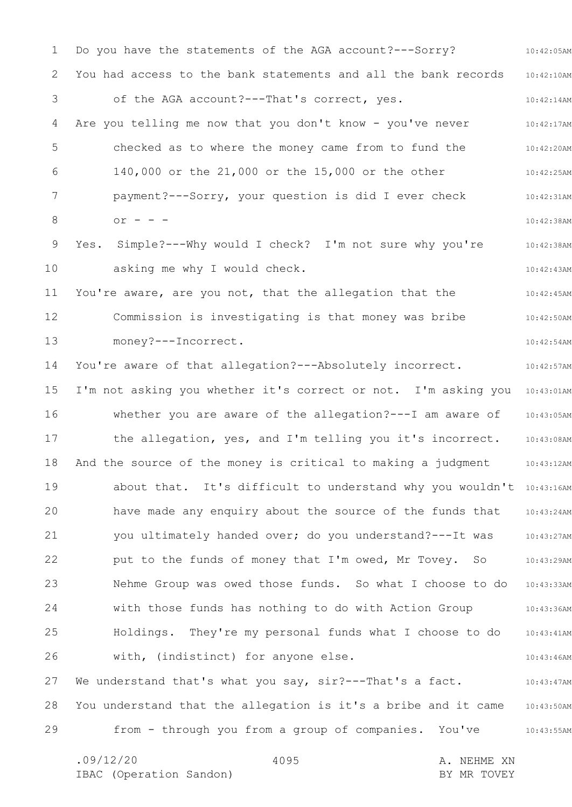1 2 3 4 5 6 7 8 9 10 11 12 13 14 15 16 17 18 19 20 21 22 23 24 25 26 27 28 29 10:42:05AM 10:42:10AM 10:42:14AM 10:42:17AM 10:42:20AM 10:42:25AM 10:42:31AM 10:42:38AM 10:42:38AM 10:42:43AM 10:42:45AM 10:42:50AM 10:42:54AM 10:42:57AM I'm not asking you whether it's correct or not. I'm asking you 10:43:01AM 10:43:05AM 10:43:08AM 10:43:12AM about that. It's difficult to understand why you wouldn't 10:43:16AM 10:43:24AM 10:43:27AM 10:43:29AM 10:43:33AM 10:43:36AM 10:43:41AM 10:43:46AM 10:43:47AM 10:43:50AM 10:43:55AM .09/12/20 4095 4095 A. NEHME XN 4095 Do you have the statements of the AGA account?---Sorry? You had access to the bank statements and all the bank records of the AGA account?---That's correct, yes. Are you telling me now that you don't know - you've never checked as to where the money came from to fund the 140,000 or the 21,000 or the 15,000 or the other payment?---Sorry, your question is did I ever check  $or - -$ Yes. Simple?---Why would I check? I'm not sure why you're asking me why I would check. You're aware, are you not, that the allegation that the Commission is investigating is that money was bribe money?---Incorrect. You're aware of that allegation? --- Absolutely incorrect. whether you are aware of the allegation?---I am aware of the allegation, yes, and I'm telling you it's incorrect. And the source of the money is critical to making a judgment have made any enquiry about the source of the funds that you ultimately handed over; do you understand?---It was put to the funds of money that I'm owed, Mr Tovey. So Nehme Group was owed those funds. So what I choose to do with those funds has nothing to do with Action Group Holdings. They're my personal funds what I choose to do with, (indistinct) for anyone else. We understand that's what you say, sir?---That's a fact. You understand that the allegation is it's a bribe and it came from - through you from a group of companies. You've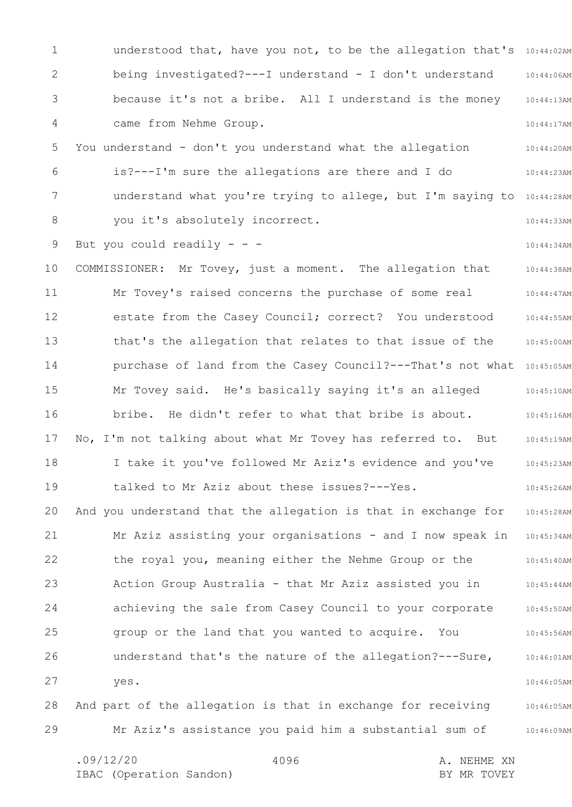1 2 3 4 5 6 7 8 9 10 11 12 13 14 15 16 17 18 19 20 21 22 23 24 25 26 27 28 29 understood that, have you not, to be the allegation that's 10:44:02AM 10:44:06AM 10:44:13AM 10:44:17AM 10:44:20AM 10:44:23AM understand what you're trying to allege, but I'm saying to 10:44:28AM 10:44:33AM 10:44:34AM 10:44:38AM 10:44:47AM 10:44:55AM 10:45:00AM purchase of land from the Casey Council?---That's not what 10:45:05AM 10:45:10AM 10:45:16AM 10:45:19AM 10:45:23AM 10:45:26AM 10:45:28AM Mr Aziz assisting your organisations - and I now speak in 10:45:34AM 10:45:40AM 10:45:44AM 10:45:50AM 10:45:56AM 10:46:01AM 10:46:05AM 10:46:05AM 10:46:09AM being investigated?---I understand - I don't understand because it's not a bribe. All I understand is the money came from Nehme Group. You understand - don't you understand what the allegation is?---I'm sure the allegations are there and I do you it's absolutely incorrect. But you could readily  $- -$ COMMISSIONER: Mr Tovey, just a moment. The allegation that Mr Tovey's raised concerns the purchase of some real estate from the Casey Council; correct? You understood that's the allegation that relates to that issue of the Mr Tovey said. He's basically saying it's an alleged bribe. He didn't refer to what that bribe is about. No, I'm not talking about what Mr Tovey has referred to. But I take it you've followed Mr Aziz's evidence and you've talked to Mr Aziz about these issues?---Yes. And you understand that the allegation is that in exchange for the royal you, meaning either the Nehme Group or the Action Group Australia - that Mr Aziz assisted you in achieving the sale from Casey Council to your corporate group or the land that you wanted to acquire. You understand that's the nature of the allegation?---Sure, yes. And part of the allegation is that in exchange for receiving Mr Aziz's assistance you paid him a substantial sum of

4096

.09/12/20 4096 A. NEHME XN IBAC (Operation Sandon) and the set of the BY MR TOVEY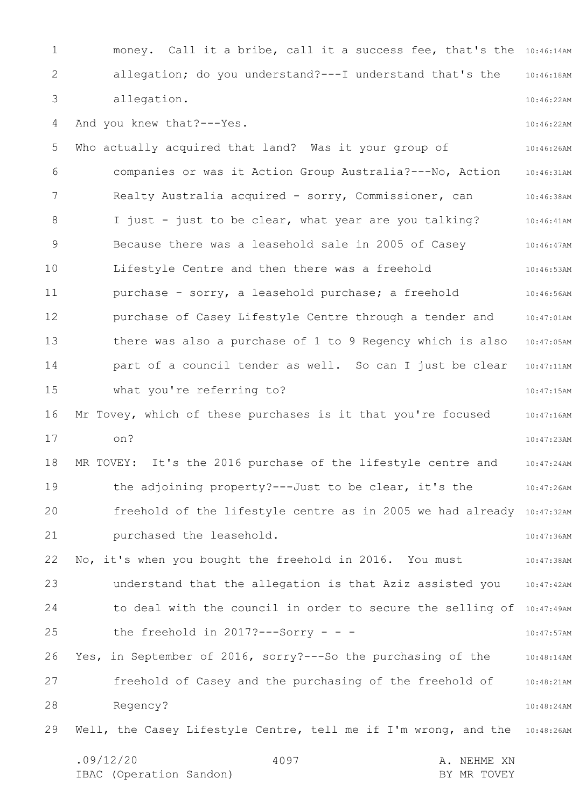1 2 3 4 5 6 7 8 9 10 11 12 13 14 15 16 17 18 19 20 21 22 23 24 25 26 27 28 29 money. Call it a bribe, call it a success fee, that's the 10:46:14AM 10:46:18AM 10:46:22AM 10:46:22AM 10:46:26AM 10:46:31AM 10:46:38AM 10:46:41AM 10:46:47AM 10:46:53AM 10:46:56AM 10:47:01AM 10:47:05AM 10:47:11AM 10:47:15AM 10:47:16AM 10:47:23AM 10:47:24AM 10:47:26AM freehold of the lifestyle centre as in 2005 we had already 10:47:32AM 10:47:36AM 10:47:38AM 10:47:42AM to deal with the council in order to secure the selling of 10:47:49AM 10:47:57AM 10:48:14AM 10:48:21AM 10:48:24AM Well, the Casey Lifestyle Centre, tell me if I'm wrong, and the 10:48:26AM .09/12/20 4097 4097 4097 4097 A. NEHME XN 4097 allegation; do you understand?---I understand that's the allegation. And you knew that?---Yes. Who actually acquired that land? Was it your group of companies or was it Action Group Australia?---No, Action Realty Australia acquired - sorry, Commissioner, can I just - just to be clear, what year are you talking? Because there was a leasehold sale in 2005 of Casey Lifestyle Centre and then there was a freehold purchase - sorry, a leasehold purchase; a freehold purchase of Casey Lifestyle Centre through a tender and there was also a purchase of 1 to 9 Regency which is also part of a council tender as well. So can I just be clear what you're referring to? Mr Tovey, which of these purchases is it that you're focused on? MR TOVEY: It's the 2016 purchase of the lifestyle centre and the adjoining property?---Just to be clear, it's the purchased the leasehold. No, it's when you bought the freehold in 2016. You must understand that the allegation is that Aziz assisted you the freehold in  $2017?---Sorry - -$ Yes, in September of 2016, sorry?---So the purchasing of the freehold of Casey and the purchasing of the freehold of Regency?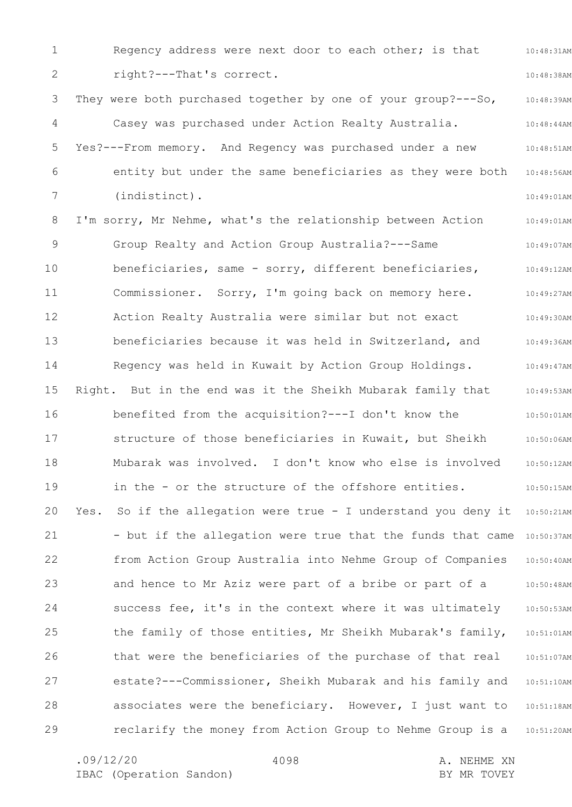1 2 3 4 5 6 7 8 9 10 11 12 13 14 15 16 17 18 19 20 21 22 23 24 25 26 27 28 29 10:48:31AM 10:48:38AM 10:48:39AM 10:48:44AM 10:48:51AM 10:48:56AM 10:49:01AM 10:49:01AM 10:49:07AM 10:49:12AM 10:49:27AM 10:49:30AM 10:49:36AM 10:49:47AM 10:49:53AM 10:50:01AM 10:50:06AM 10:50:12AM 10:50:15AM Yes. So if the allegation were true - I understand you deny it 10:50:21AM - but if the allegation were true that the funds that came 10:50:37AM 10:50:40AM 10:50:48AM 10:50:53AM 10:51:01AM 10:51:07AM 10:51:10AM 10:51:18AM 10:51:20AM Regency address were next door to each other; is that right?---That's correct. They were both purchased together by one of your group?---So, Casey was purchased under Action Realty Australia. Yes?---From memory. And Regency was purchased under a new entity but under the same beneficiaries as they were both (indistinct). I'm sorry, Mr Nehme, what's the relationship between Action Group Realty and Action Group Australia?---Same beneficiaries, same - sorry, different beneficiaries, Commissioner. Sorry, I'm going back on memory here. Action Realty Australia were similar but not exact beneficiaries because it was held in Switzerland, and Regency was held in Kuwait by Action Group Holdings. Right. But in the end was it the Sheikh Mubarak family that benefited from the acquisition?---I don't know the structure of those beneficiaries in Kuwait, but Sheikh Mubarak was involved. I don't know who else is involved in the - or the structure of the offshore entities. from Action Group Australia into Nehme Group of Companies and hence to Mr Aziz were part of a bribe or part of a success fee, it's in the context where it was ultimately the family of those entities, Mr Sheikh Mubarak's family, that were the beneficiaries of the purchase of that real estate?---Commissioner, Sheikh Mubarak and his family and associates were the beneficiary. However, I just want to reclarify the money from Action Group to Nehme Group is a

4098

.09/12/20 4098 A. NEHME XN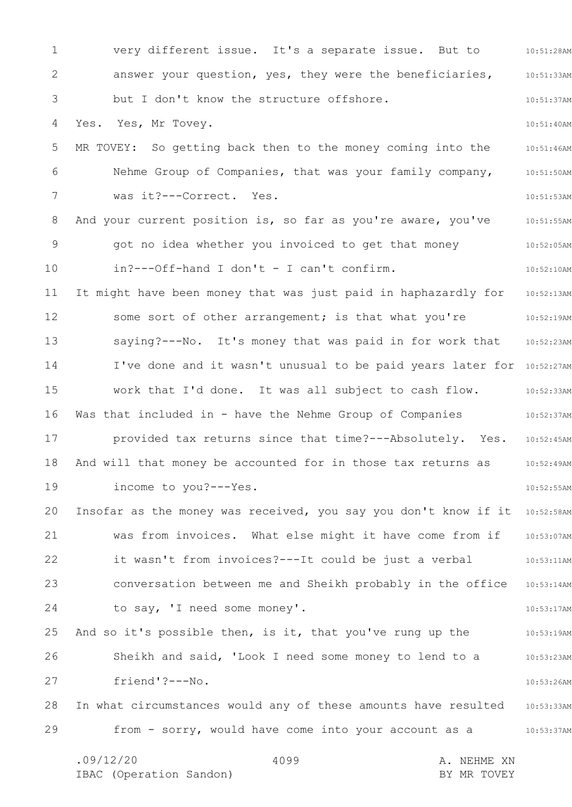1 2 3 4 5 6 7 8 9 10 11 12 13 14 15 16 17 18 19 20 21 22 23 24 25 26 27 28 29 10:51:28AM 10:51:33AM 10:51:37AM 10:51:40AM 10:51:46AM 10:51:50AM 10:51:53AM 10:51:55AM 10:52:05AM 10:52:10AM 10:52:13AM 10:52:19AM 10:52:23AM I've done and it wasn't unusual to be paid years later for 10:52:27AM 10:52:33AM 10:52:37AM provided tax returns since that time?---Absolutely. Yes. 10:52:45AM 10:52:49AM 10:52:55AM Insofar as the money was received, you say you don't know if it 10:52:58AM 10:53:07AM 10:53:11AM conversation between me and Sheikh probably in the office 10:53:14AM 10:53:17AM 10:53:19AM 10:53:23AM 10:53:26AM In what circumstances would any of these amounts have resulted 10:53:33AM from - sorry, would have come into your account as a 10:53:37AM .09/12/20 4099 A. NEHME XN 4099 very different issue. It's a separate issue. But to answer your question, yes, they were the beneficiaries, but I don't know the structure offshore. Yes. Yes, Mr Tovey. MR TOVEY: So getting back then to the money coming into the Nehme Group of Companies, that was your family company, was it?---Correct. Yes. And your current position is, so far as you're aware, you've got no idea whether you invoiced to get that money in?---Off-hand I don't - I can't confirm. It might have been money that was just paid in haphazardly for some sort of other arrangement; is that what you're saying?---No. It's money that was paid in for work that work that I'd done. It was all subject to cash flow. Was that included in - have the Nehme Group of Companies And will that money be accounted for in those tax returns as income to you?---Yes. was from invoices. What else might it have come from if it wasn't from invoices?---It could be just a verbal to say, 'I need some money'. And so it's possible then, is it, that you've rung up the Sheikh and said, 'Look I need some money to lend to a friend'?---No.

IBAC (Operation Sandon) BY MR TOVEY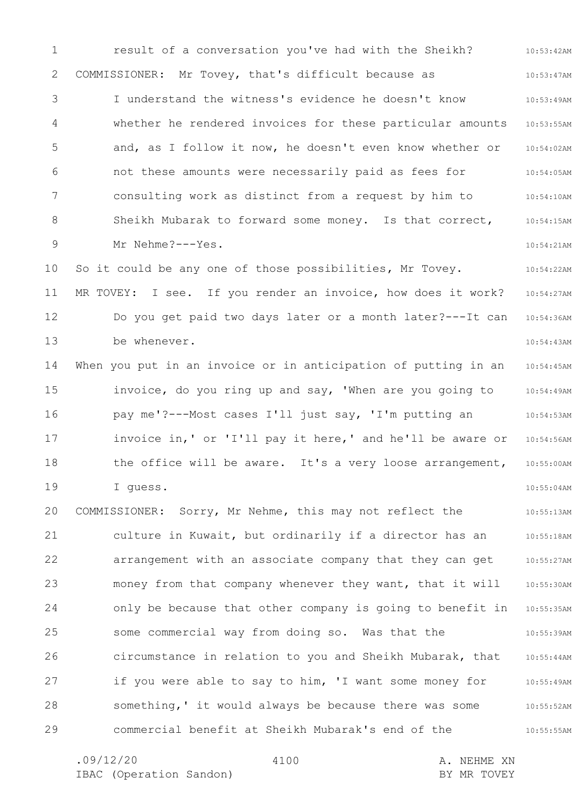1 2 3 4 5 6 7 8 9 10 11 12 13 14 15 16 17 18 19 20 21 22 23 24 25 26 27 28 29 10:53:42AM 10:53:47AM 10:53:49AM 10:53:55AM 10:54:02AM 10:54:05AM 10:54:10AM 10:54:15AM 10:54:21AM 10:54:22AM 10:54:27AM 10:54:36AM 10:54:43AM 10:54:45AM 10:54:49AM 10:54:53AM 10:54:56AM 10:55:00AM 10:55:04AM 10:55:13AM 10:55:18AM 10:55:27AM 10:55:30AM 10:55:35AM 10:55:39AM 10:55:44AM 10:55:49AM 10:55:52AM 10:55:55AM result of a conversation you've had with the Sheikh? COMMISSIONER: Mr Tovey, that's difficult because as I understand the witness's evidence he doesn't know whether he rendered invoices for these particular amounts and, as I follow it now, he doesn't even know whether or not these amounts were necessarily paid as fees for consulting work as distinct from a request by him to Sheikh Mubarak to forward some money. Is that correct, Mr Nehme?---Yes. So it could be any one of those possibilities, Mr Tovey. MR TOVEY: I see. If you render an invoice, how does it work? Do you get paid two days later or a month later?---It can be whenever. When you put in an invoice or in anticipation of putting in an invoice, do you ring up and say, 'When are you going to pay me'?---Most cases I'll just say, 'I'm putting an invoice in,' or 'I'll pay it here,' and he'll be aware or the office will be aware. It's a very loose arrangement, I guess. COMMISSIONER: Sorry, Mr Nehme, this may not reflect the culture in Kuwait, but ordinarily if a director has an arrangement with an associate company that they can get money from that company whenever they want, that it will only be because that other company is going to benefit in some commercial way from doing so. Was that the circumstance in relation to you and Sheikh Mubarak, that if you were able to say to him, 'I want some money for something,' it would always be because there was some commercial benefit at Sheikh Mubarak's end of the

4100

.09/12/20 4100 A. NEHME XN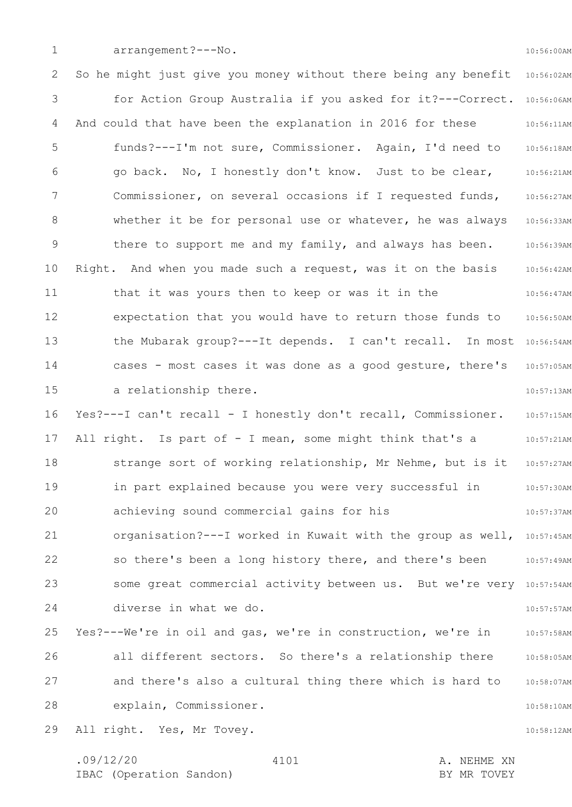1

arrangement?---No.

10:56:00AM

2 3 4 5 6 7 8 9 10 11 12 13 14 15 16 17 18 19 20 21 22 23 24 25 26 27 28 29 So he might just give you money without there being any benefit 10:56:02AM for Action Group Australia if you asked for it?---Correct. 10:56:06AM 10:56:11AM 10:56:18AM 10:56:21AM 10:56:27AM 10:56:33AM 10:56:39AM 10:56:42AM 10:56:47AM 10:56:50AM the Mubarak group? --- It depends. I can't recall. In most 10:56:54AM 10:57:05AM 10:57:13AM 10:57:15AM 10:57:21AM 10:57:27AM 10:57:30AM 10:57:37AM organisation? --- I worked in Kuwait with the group as well, 10:57:45AM 10:57:49AM some great commercial activity between us. But we're very 10:57:54AM 10:57:57AM 10:57:58AM 10:58:05AM 10:58:07AM 10:58:10AM 10:58:12AM And could that have been the explanation in 2016 for these funds?---I'm not sure, Commissioner. Again, I'd need to go back. No, I honestly don't know. Just to be clear, Commissioner, on several occasions if I requested funds, whether it be for personal use or whatever, he was always there to support me and my family, and always has been. Right. And when you made such a request, was it on the basis that it was yours then to keep or was it in the expectation that you would have to return those funds to cases - most cases it was done as a good gesture, there's a relationship there. Yes?---I can't recall - I honestly don't recall, Commissioner. All right. Is part of - I mean, some might think that's a strange sort of working relationship, Mr Nehme, but is it in part explained because you were very successful in achieving sound commercial gains for his so there's been a long history there, and there's been diverse in what we do. Yes?---We're in oil and gas, we're in construction, we're in all different sectors. So there's a relationship there and there's also a cultural thing there which is hard to explain, Commissioner. All right. Yes, Mr Tovey.

.09/12/20 4101 A. NEHME XN IBAC (Operation Sandon) and the set of the BY MR TOVEY 4101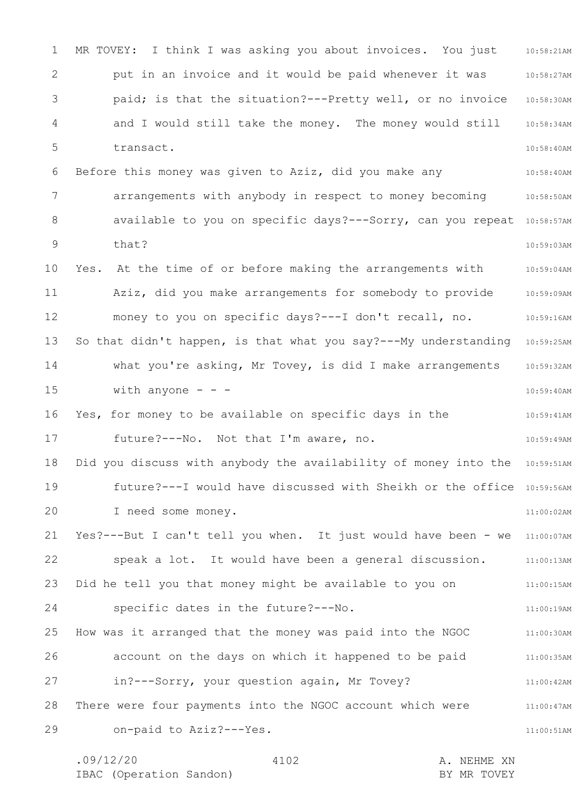1 2 3 4 5 6 7 8 9 10 11 12 13 14 15 16 17 18 19 20 21 22 23 24 25 26 27 28 29 MR TOVEY: I think I was asking you about invoices. You just 10:58:21AM 10:58:27AM 10:58:30AM 10:58:34AM 10:58:40AM 10:58:40AM arrangements with anybody in respect to money becoming 30:58:50AM available to you on specific days?---Sorry, can you repeat 10:58:57AM 10:59:03AM 10:59:04AM 10:59:09AM 10:59:16AM So that didn't happen, is that what you say?---My understanding 10:59:25AM 10:59:32AM 10:59:40AM 10:59:41AM 10:59:49AM Did you discuss with anybody the availability of money into the 10:59:51AM future?---I would have discussed with Sheikh or the office 10:59:56AM 11:00:02AM Yes?---But I can't tell you when. It just would have been - we 11:00:07AM 11:00:13AM 11:00:15AM 11:00:19AM 11:00:30AM 11:00:35AM 11:00:42AM 11:00:47AM 11:00:51AM put in an invoice and it would be paid whenever it was paid; is that the situation?---Pretty well, or no invoice and I would still take the money. The money would still transact. Before this money was given to Aziz, did you make any that? Yes. At the time of or before making the arrangements with Aziz, did you make arrangements for somebody to provide money to you on specific days?---I don't recall, no. what you're asking, Mr Tovey, is did I make arrangements with anyone  $-$ Yes, for money to be available on specific days in the future?---No. Not that I'm aware, no. I need some money. speak a lot. It would have been a general discussion. Did he tell you that money might be available to you on specific dates in the future?---No. How was it arranged that the money was paid into the NGOC account on the days on which it happened to be paid in?---Sorry, your question again, Mr Tovey? There were four payments into the NGOC account which were on-paid to Aziz?---Yes.

.09/12/20 4102 A. NEHME XN IBAC (Operation Sandon) and the set of the BY MR TOVEY 4102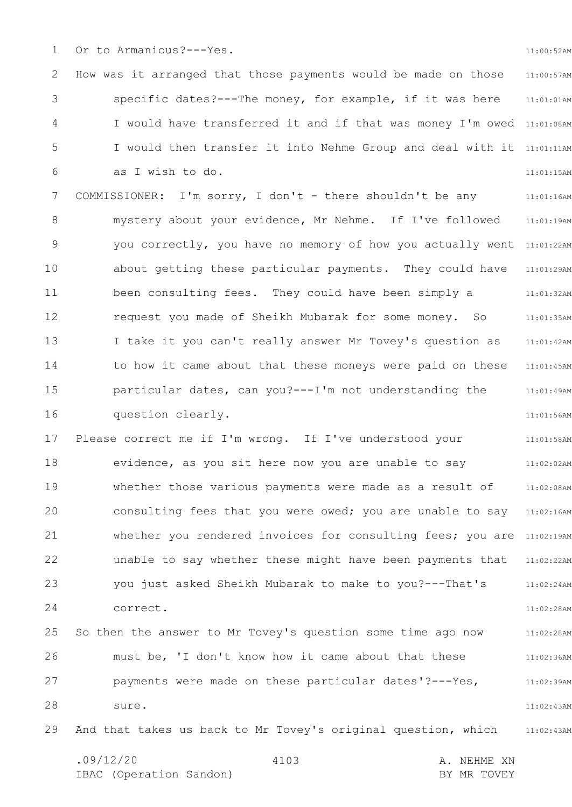1 Or to Armanious?---Yes.

2 3 4 5 6 7 8 9 10 11 12 13 14 15 16 17 18 19 20 21 22 23 24 11:00:57AM 11:01:01AM I would have transferred it and if that was money I'm owed 11:01:08AM I would then transfer it into Nehme Group and deal with it 11:01:11AM 11:01:15AM 11:01:16AM 11:01:19AM you correctly, you have no memory of how you actually went 11:01:22AM 11:01:29AM 11:01:32AM 11:01:35AM 11:01:42AM 11:01:45AM 11:01:49AM 11:01:56AM 11:01:58AM 11:02:02AM 11:02:08AM consulting fees that you were owed; you are unable to say 11:02:16AM whether you rendered invoices for consulting fees; you are 11:02:19AM 11:02:22AM 11:02:24AM 11:02:28AM How was it arranged that those payments would be made on those specific dates?---The money, for example, if it was here as I wish to do. COMMISSIONER: I'm sorry, I don't - there shouldn't be any mystery about your evidence, Mr Nehme. If I've followed about getting these particular payments. They could have been consulting fees. They could have been simply a request you made of Sheikh Mubarak for some money. So I take it you can't really answer Mr Tovey's question as to how it came about that these moneys were paid on these particular dates, can you?---I'm not understanding the question clearly. Please correct me if I'm wrong. If I've understood your evidence, as you sit here now you are unable to say whether those various payments were made as a result of unable to say whether these might have been payments that you just asked Sheikh Mubarak to make to you?---That's correct.

25 26 27 28 11:02:28AM 11:02:36AM 11:02:39AM 11:02:43AM So then the answer to Mr Tovey's question some time ago now must be, 'I don't know how it came about that these payments were made on these particular dates'?---Yes, sure.

29 11:02:43AM And that takes us back to Mr Tovey's original question, which

.09/12/20 4103 A. NEHME XN IBAC (Operation Sandon) and the set of the BY MR TOVEY 4103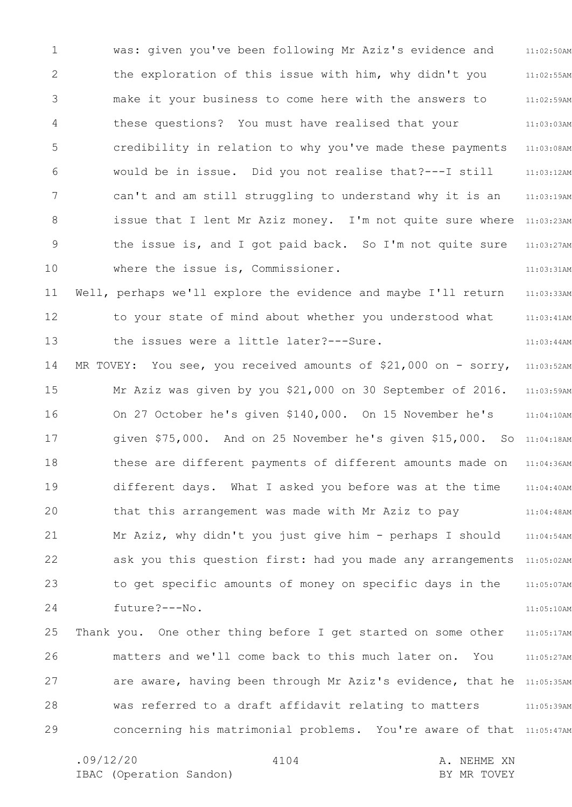1 2 3 4 5 6 7 8 9 10 11 12 13 14 15 16 17 18 19 20 21 22 23 24 25 26 27 28 29 11:02:50AM 11:02:55AM 11:02:59AM 11:03:03AM 11:03:08AM 11:03:12AM 11:03:19AM issue that I lent Mr Aziz money. I'm not quite sure where 11:03:23AM 11:03:27AM 11:03:31AM 11:03:33AM 11:03:41AM 11:03:44AM 11:03:52AM 11:03:59AM 11:04:10AM SO 11:04:18AM 11:04:36AM 11:04:40AM 11:04:48AM 11:04:54AM ask you this question first: had you made any arrangements 11:05:02AM 11:05:07AM 11:05:10AM 11:05:17AM 11:05:27AM are aware, having been through Mr Aziz's evidence, that he 11:05:35AM 11:05:39AM concerning his matrimonial problems. You're aware of that 11:05:47AM was: given you've been following Mr Aziz's evidence and the exploration of this issue with him, why didn't you make it your business to come here with the answers to these questions? You must have realised that your credibility in relation to why you've made these payments would be in issue. Did you not realise that?---I still can't and am still struggling to understand why it is an the issue is, and I got paid back. So I'm not quite sure where the issue is, Commissioner. Well, perhaps we'll explore the evidence and maybe I'll return to your state of mind about whether you understood what the issues were a little later?---Sure. MR TOVEY: You see, you received amounts of \$21,000 on - sorry, Mr Aziz was given by you \$21,000 on 30 September of 2016. On 27 October he's given \$140,000. On 15 November he's given  $$75,000$ . And on 25 November he's given  $$15,000$ . these are different payments of different amounts made on different days. What I asked you before was at the time that this arrangement was made with Mr Aziz to pay Mr Aziz, why didn't you just give him - perhaps I should to get specific amounts of money on specific days in the future?---No. Thank you. One other thing before I get started on some other matters and we'll come back to this much later on. You was referred to a draft affidavit relating to matters

4104

.09/12/20 4104 4104 A. NEHME XN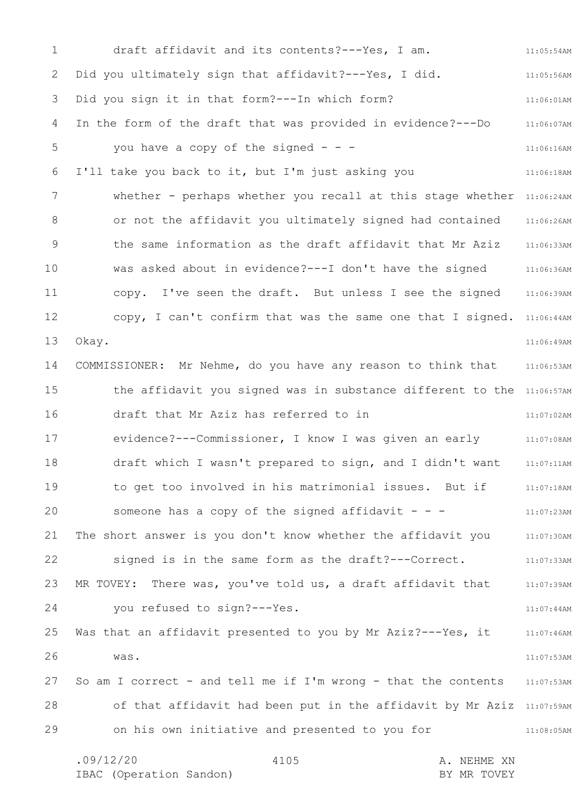1 2 3 4 5 6 7 8 9 10 11 12 13 14 15 16 17 18 19 20 21 22 23 24 25 26 27 28 29 11:05:54AM 11:05:56AM 11:06:01AM 11:06:07AM 11:06:16AM 11:06:18AM whether - perhaps whether you recall at this stage whether 11:06:24AM 11:06:26AM 11:06:33AM 11:06:36AM 11:06:39AM copy, I can't confirm that was the same one that I signed. 11:06:44AM 11:06:49AM 11:06:53AM the affidavit you signed was in substance different to the 11:06:57AM 11:07:02AM 11:07:08AM 11:07:11AM 11:07:18AM 11:07:23AM 11:07:30AM 11:07:33AM 11:07:39AM 11:07:44AM 11:07:46AM 11:07:53AM 11:07:53AM of that affidavit had been put in the affidavit by Mr Aziz 11:07:59AM 11:08:05AM .09/12/20 4105 A. NEHME XN 4105 draft affidavit and its contents?---Yes, I am. Did you ultimately sign that affidavit?---Yes, I did. Did you sign it in that form?---In which form? In the form of the draft that was provided in evidence?---Do you have a copy of the signed  $- -$ I'll take you back to it, but I'm just asking you or not the affidavit you ultimately signed had contained the same information as the draft affidavit that Mr Aziz was asked about in evidence?---I don't have the signed copy. I've seen the draft. But unless I see the signed Okay. COMMISSIONER: Mr Nehme, do you have any reason to think that draft that Mr Aziz has referred to in evidence?---Commissioner, I know I was given an early draft which I wasn't prepared to sign, and I didn't want to get too involved in his matrimonial issues. But if someone has a copy of the signed affidavit  $- -$ The short answer is you don't know whether the affidavit you signed is in the same form as the draft?---Correct. MR TOVEY: There was, you've told us, a draft affidavit that you refused to sign?---Yes. Was that an affidavit presented to you by Mr Aziz? --- Yes, it was. So am I correct - and tell me if I'm wrong - that the contents on his own initiative and presented to you for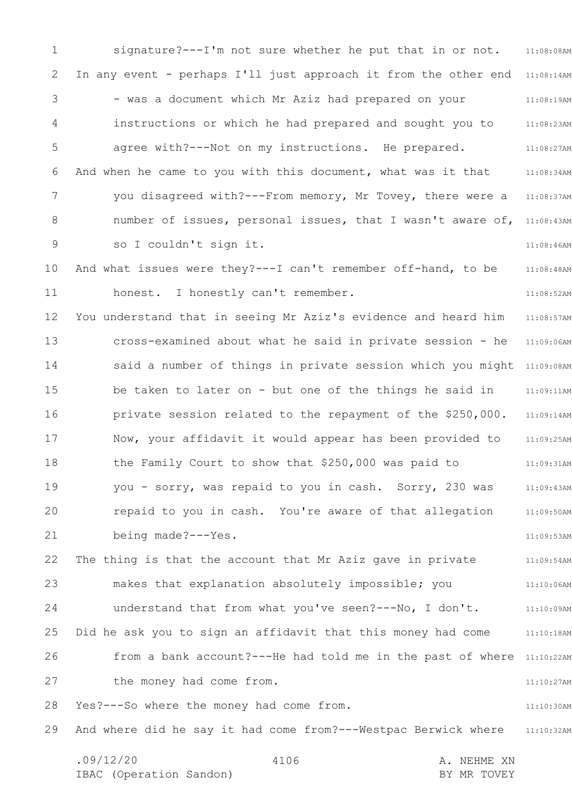1 2 3 4 5 6 7 8 9 10 11 12 13 14 15 16 17 18 19 20 21 22 23 24 25 26 27 28 29 11:08:08AM In any event - perhaps I'll just approach it from the other end 11:08:14AM 11:08:19AM 11:08:23AM 11:08:27AM 11:08:34AM 11:08:37AM number of issues, personal issues, that I wasn't aware of, 11:08:43AM 11:08:46AM 11:08:48AM 11:08:52AM 11:08:57AM 11:09:06AM said a number of things in private session which you might 11:09:08AM 11:09:11AM 11:09:14AM 11:09:25AM 11:09:31AM 11:09:43AM 11:09:50AM 11:09:53AM 11:09:54AM 11:10:06AM 11:10:09AM 11:10:18AM from a bank account?---He had told me in the past of where 11:10:22AM 11:10:27AM 11:10:30AM And where did he say it had come from?---Westpac Berwick where 11:10:32AM signature?---I'm not sure whether he put that in or not. - was a document which Mr Aziz had prepared on your instructions or which he had prepared and sought you to agree with?---Not on my instructions. He prepared. And when he came to you with this document, what was it that you disagreed with?---From memory, Mr Tovey, there were a so I couldn't sign it. And what issues were they?---I can't remember off-hand, to be honest. I honestly can't remember. You understand that in seeing Mr Aziz's evidence and heard him cross-examined about what he said in private session - he be taken to later on - but one of the things he said in private session related to the repayment of the \$250,000. Now, your affidavit it would appear has been provided to the Family Court to show that \$250,000 was paid to you - sorry, was repaid to you in cash. Sorry, 230 was repaid to you in cash. You're aware of that allegation being made?---Yes. The thing is that the account that Mr Aziz gave in private makes that explanation absolutely impossible; you understand that from what you've seen?---No, I don't. Did he ask you to sign an affidavit that this money had come the money had come from. Yes?---So where the money had come from.

.09/12/20 4106 A. NEHME XN IBAC (Operation Sandon) and the set of the BY MR TOVEY 4106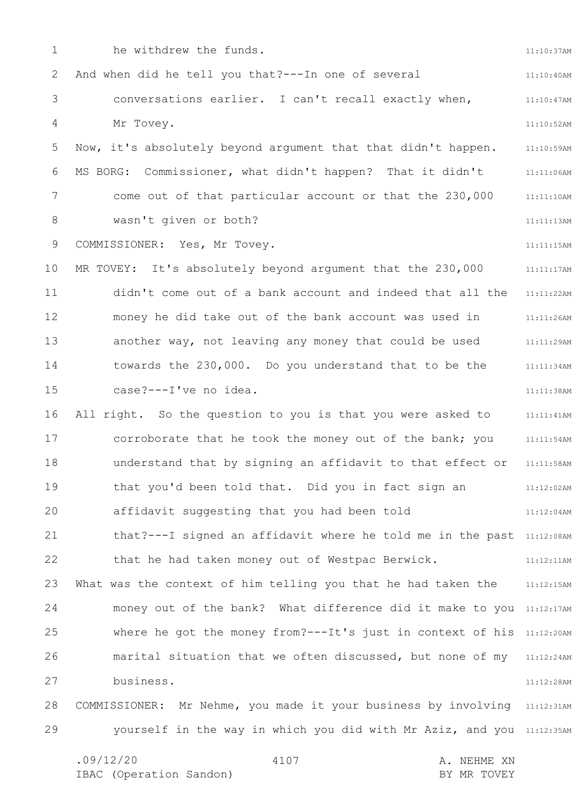1 2 3 4 5 6 7 8 9 10 11 12 13 14 15 16 17 18 19 20 21 22 23 24 25 26 27 28 29 11:10:37AM 11:10:40AM 11:10:47AM 11:10:52AM 11:10:59AM 11:11:06AM 11:11:10AM 11:11:13AM 11:11:15AM 11:11:17AM 11:11:22AM 11:11:26AM 11:11:29AM 11:11:34AM 11:11:38AM 11:11:41AM 11:11:54AM 11:11:58AM 11:12:02AM 11:12:04AM that?---I signed an affidavit where he told me in the past 11:12:08AM 11:12:11AM What was the context of him telling you that he had taken the 11:12:15AM money out of the bank? What difference did it make to you 11:12:17AM where he got the money from?---It's just in context of his 11:12:20AM marital situation that we often discussed, but none of my 11:12:24AM 11:12:28AM COMMISSIONER: Mr Nehme, you made it your business by involving 11:12:31AM yourself in the way in which you did with Mr Aziz, and you 11:12:35AM he withdrew the funds. And when did he tell you that?---In one of several conversations earlier. I can't recall exactly when, Mr Tovey. Now, it's absolutely beyond argument that that didn't happen. MS BORG: Commissioner, what didn't happen? That it didn't come out of that particular account or that the 230,000 wasn't given or both? COMMISSIONER: Yes, Mr Tovey. MR TOVEY: It's absolutely beyond argument that the 230,000 didn't come out of a bank account and indeed that all the money he did take out of the bank account was used in another way, not leaving any money that could be used towards the 230,000. Do you understand that to be the case?---I've no idea. All right. So the question to you is that you were asked to corroborate that he took the money out of the bank; you understand that by signing an affidavit to that effect or that you'd been told that. Did you in fact sign an affidavit suggesting that you had been told that he had taken money out of Westpac Berwick. business.

4107

IBAC (Operation Sandon) and the set of the BY MR TOVEY

.09/12/20 4107 A. NEHME XN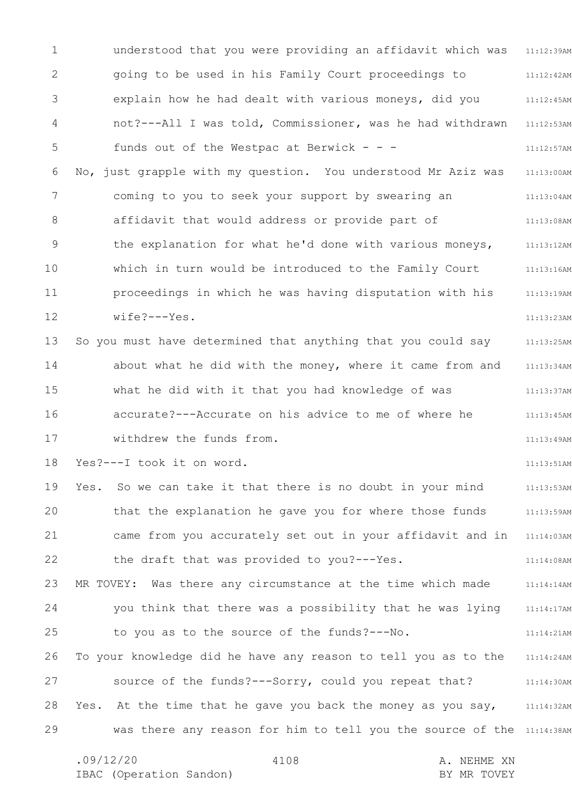1 2 3 4 5 6 7 8 9 10 11 12 13 14 15 16 17 18 19 20 21 22 23 24 25 26 27 28 29 11:12:39AM 11:12:42AM 11:12:45AM 11:12:53AM 11:12:57AM 11:13:00AM 11:13:04AM 11:13:08AM 11:13:12AM 11:13:16AM 11:13:19AM 11:13:23AM 11:13:25AM 11:13:34AM 11:13:37AM 11:13:45AM 11:13:49AM 11:13:51AM 11:13:53AM 11:13:59AM came from you accurately set out in your affidavit and in 11:14:03AM 11:14:08AM 11:14:14AM 11:14:17AM 11:14:21AM 11:14:24AM 11:14:30AM Yes. At the time that he gave you back the money as you say, 11:14:32AM was there any reason for him to tell you the source of the 11:14:38AM understood that you were providing an affidavit which was going to be used in his Family Court proceedings to explain how he had dealt with various moneys, did you not?---All I was told, Commissioner, was he had withdrawn funds out of the Westpac at Berwick - - -No, just grapple with my question. You understood Mr Aziz was coming to you to seek your support by swearing an affidavit that would address or provide part of the explanation for what he'd done with various moneys, which in turn would be introduced to the Family Court proceedings in which he was having disputation with his wife?---Yes. So you must have determined that anything that you could say about what he did with the money, where it came from and what he did with it that you had knowledge of was accurate?---Accurate on his advice to me of where he withdrew the funds from. Yes?---I took it on word. Yes. So we can take it that there is no doubt in your mind that the explanation he gave you for where those funds the draft that was provided to you?---Yes. MR TOVEY: Was there any circumstance at the time which made you think that there was a possibility that he was lying to you as to the source of the funds?---No. To your knowledge did he have any reason to tell you as to the source of the funds?---Sorry, could you repeat that?

.09/12/20 4108 A. NEHME XN IBAC (Operation Sandon) and the set of the BY MR TOVEY 4108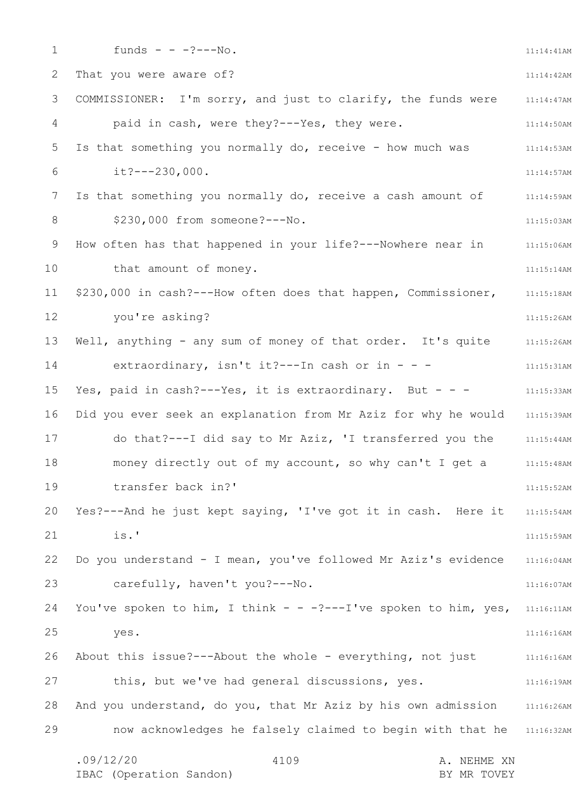1 2 3 4 5 6 7 8 9 10 11 12 13 14 15 16 17 18 19 20 21 22 23 24 25 26 27 28 29 11:14:41AM 11:14:42AM 11:14:47AM 11:14:50AM 11:14:53AM 11:14:57AM 11:14:59AM 11:15:03AM 11:15:06AM 11:15:14AM 11:15:18AM 11:15:26AM 11:15:26AM 11:15:31AM 11:15:33AM Did you ever seek an explanation from Mr Aziz for why he would 11:15:39AM 11:15:44AM 11:15:48AM 11:15:52AM 11:15:54AM 11:15:59AM 11:16:04AM 11:16:07AM You've spoken to him, I think - - -?---I've spoken to him, yes, 11:16:11AM 11:16:16AM 11:16:16AM 11:16:19AM And you understand, do you, that Mr Aziz by his own admission 11:16:26AM now acknowledges he falsely claimed to begin with that he 11:16:32AM .09/12/20 4109 4109 A. NEHME XN 4109 funds - -  $-$  -?---No. That you were aware of? COMMISSIONER: I'm sorry, and just to clarify, the funds were paid in cash, were they?---Yes, they were. Is that something you normally do, receive - how much was it?---230,000. Is that something you normally do, receive a cash amount of \$230,000 from someone?---No. How often has that happened in your life?---Nowhere near in that amount of money. \$230,000 in cash?---How often does that happen, Commissioner, you're asking? Well, anything - any sum of money of that order. It's quite extraordinary, isn't it ?---In cash or in - - -Yes, paid in cash?---Yes, it is extraordinary. But - - do that?---I did say to Mr Aziz, 'I transferred you the money directly out of my account, so why can't I get a transfer back in?' Yes?---And he just kept saying, 'I've got it in cash. Here it is.' Do you understand - I mean, you've followed Mr Aziz's evidence carefully, haven't you?---No. yes. About this issue?---About the whole - everything, not just this, but we've had general discussions, yes.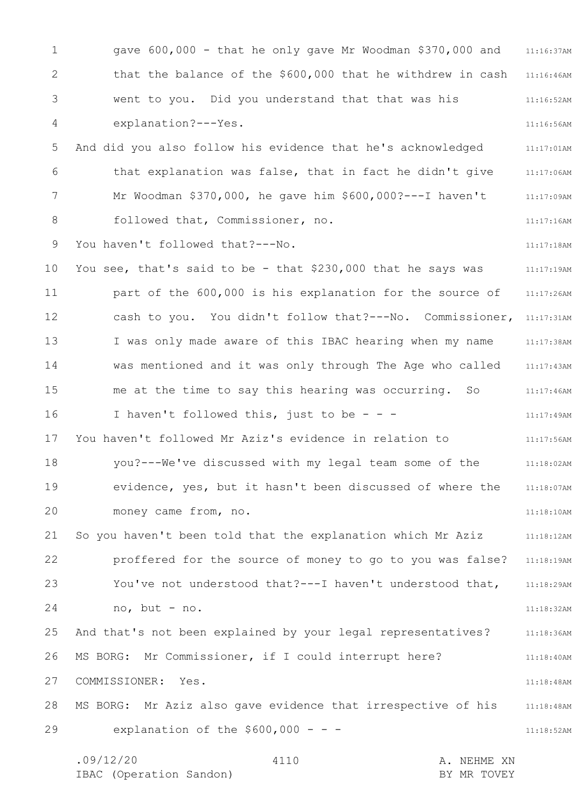1 2 3 4 5 6 7 8 9 10 11 12 13 14 15 16 17 18 19 20 21 22 23 24 25 26 27 28 29 11:16:37AM that the balance of the \$600,000 that he withdrew in cash 11:16:46AM 11:16:52AM 11:16:56AM 11:17:01AM 11:17:06AM 11:17:09AM 11:17:16AM 11:17:18AM 11:17:19AM 11:17:26AM cash to you. You didn't follow that? ---No. Commissioner, 11:17:31AM 11:17:38AM 11:17:43AM 11:17:46AM 11:17:49AM 11:17:56AM 11:18:02AM 11:18:07AM 11:18:10AM 11:18:12AM 11:18:19AM 11:18:29AM 11:18:32AM 11:18:36AM 11:18:40AM 11:18:48AM 11:18:48AM 11:18:52AM .09/12/20 4110 A. NEHME XN 4110 gave 600,000 - that he only gave Mr Woodman \$370,000 and went to you. Did you understand that that was his explanation?---Yes. And did you also follow his evidence that he's acknowledged that explanation was false, that in fact he didn't give Mr Woodman \$370,000, he gave him \$600,000?---I haven't followed that, Commissioner, no. You haven't followed that? --- No. You see, that's said to be - that \$230,000 that he says was part of the 600,000 is his explanation for the source of I was only made aware of this IBAC hearing when my name was mentioned and it was only through The Age who called me at the time to say this hearing was occurring. So I haven't followed this, just to be  $- -$ You haven't followed Mr Aziz's evidence in relation to you?---We've discussed with my legal team some of the evidence, yes, but it hasn't been discussed of where the money came from, no. So you haven't been told that the explanation which Mr Aziz proffered for the source of money to go to you was false? You've not understood that?---I haven't understood that, no, but - no. And that's not been explained by your legal representatives? MS BORG: Mr Commissioner, if I could interrupt here? COMMISSIONER: Yes. MS BORG: Mr Aziz also gave evidence that irrespective of his explanation of the  $$600,000 - -$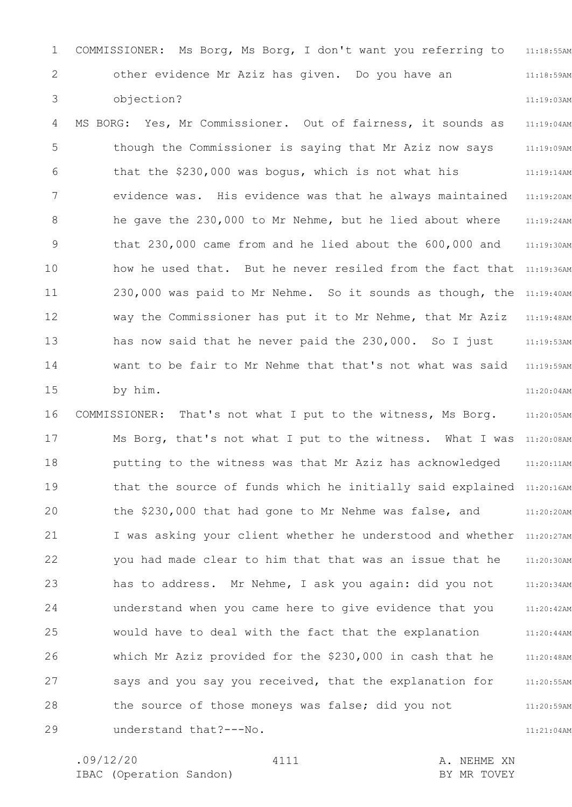1 2 3 11:18:55AM 11:18:59AM 11:19:03AM COMMISSIONER: Ms Borg, Ms Borg, I don't want you referring to other evidence Mr Aziz has given. Do you have an objection?

4 5 6 7 8 9 10 11 12 13 14 15 11:19:04AM 11:19:09AM 11:19:14AM 11:19:20AM 11:19:24AM 11:19:30AM how he used that. But he never resiled from the fact that 11:19:36AM 230,000 was paid to Mr Nehme. So it sounds as though, the 11:19:40AM 11:19:48AM 11:19:53AM 11:19:59AM 11:20:04AM MS BORG: Yes, Mr Commissioner. Out of fairness, it sounds as though the Commissioner is saying that Mr Aziz now says that the \$230,000 was bogus, which is not what his evidence was. His evidence was that he always maintained he gave the 230,000 to Mr Nehme, but he lied about where that 230,000 came from and he lied about the 600,000 and way the Commissioner has put it to Mr Nehme, that Mr Aziz has now said that he never paid the 230,000. So I just want to be fair to Mr Nehme that that's not what was said by him.

16 17 18 19 20 21 22 23 24 25 26 27 28 29 11:20:05AM Ms Borg, that's not what I put to the witness. What I was 11:20:08AM 11:20:11AM that the source of funds which he initially said explained 11:20:16AM 11:20:20AM I was asking your client whether he understood and whether 11:20:27AM 11:20:30AM 11:20:34AM 11:20:42AM 11:20:44AM 11:20:48AM 11:20:55AM 11:20:59AM COMMISSIONER: That's not what I put to the witness, Ms Borg. putting to the witness was that Mr Aziz has acknowledged the \$230,000 that had gone to Mr Nehme was false, and you had made clear to him that that was an issue that he has to address. Mr Nehme, I ask you again: did you not understand when you came here to give evidence that you would have to deal with the fact that the explanation which Mr Aziz provided for the \$230,000 in cash that he says and you say you received, that the explanation for the source of those moneys was false; did you not understand that?---No.

4111

11:21:04AM

.09/12/20 4111 A. NEHME XN IBAC (Operation Sandon) and the set of the BY MR TOVEY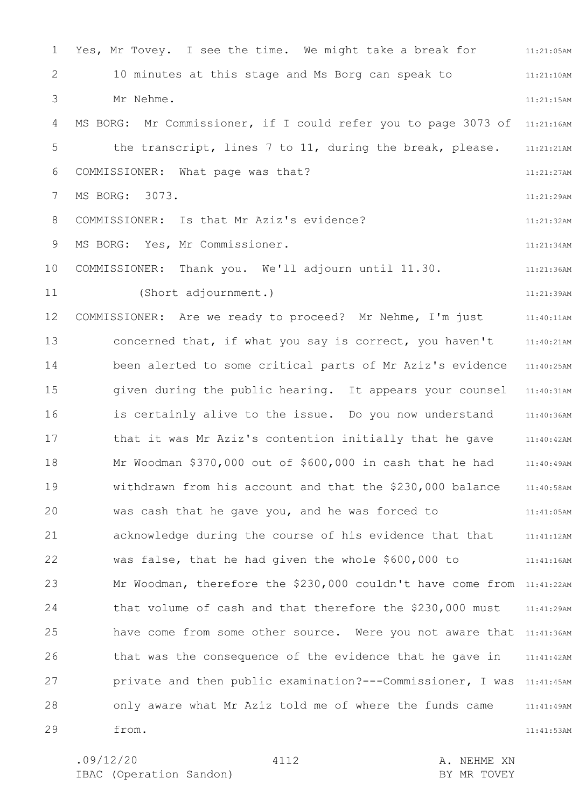1 2 3 4 5 6 7 8 9 10 11 12 13 14 15 16 17 18 19 20 21 22 23 24 25 26 27 28 29 11:21:05AM 11:21:10AM 11:21:15AM MS BORG: Mr Commissioner, if I could refer you to page 3073 of 11:21:16AM 11:21:21AM 11:21:27AM 11:21:29AM 11:21:32AM 11:21:34AM 11:21:36AM 11:21:39AM 11:40:11AM 11:40:21AM 11:40:25AM 11:40:31AM 11:40:36AM 11:40:42AM 11:40:49AM 11:40:58AM 11:41:05AM 11:41:12AM 11:41:16AM Mr Woodman, therefore the \$230,000 couldn't have come from 11:41:22AM 11:41:29AM have come from some other source. Were you not aware that 11:41:36AM 11:41:42AM private and then public examination?---Commissioner, I was 11:41:45AM 11:41:49AM 11:41:53AM Yes, Mr Tovey. I see the time. We might take a break for 10 minutes at this stage and Ms Borg can speak to Mr Nehme. the transcript, lines 7 to 11, during the break, please. COMMISSIONER: What page was that? MS BORG: 3073. COMMISSIONER: Is that Mr Aziz's evidence? MS BORG: Yes, Mr Commissioner. COMMISSIONER: Thank you. We'll adjourn until 11.30. (Short adjournment.) COMMISSIONER: Are we ready to proceed? Mr Nehme, I'm just concerned that, if what you say is correct, you haven't been alerted to some critical parts of Mr Aziz's evidence given during the public hearing. It appears your counsel is certainly alive to the issue. Do you now understand that it was Mr Aziz's contention initially that he gave Mr Woodman \$370,000 out of \$600,000 in cash that he had withdrawn from his account and that the \$230,000 balance was cash that he gave you, and he was forced to acknowledge during the course of his evidence that that was false, that he had given the whole \$600,000 to that volume of cash and that therefore the \$230,000 must that was the consequence of the evidence that he gave in only aware what Mr Aziz told me of where the funds came from.

4112

.09/12/20 4112 4112 A. NEHME XN IBAC (Operation Sandon) and the set of the BY MR TOVEY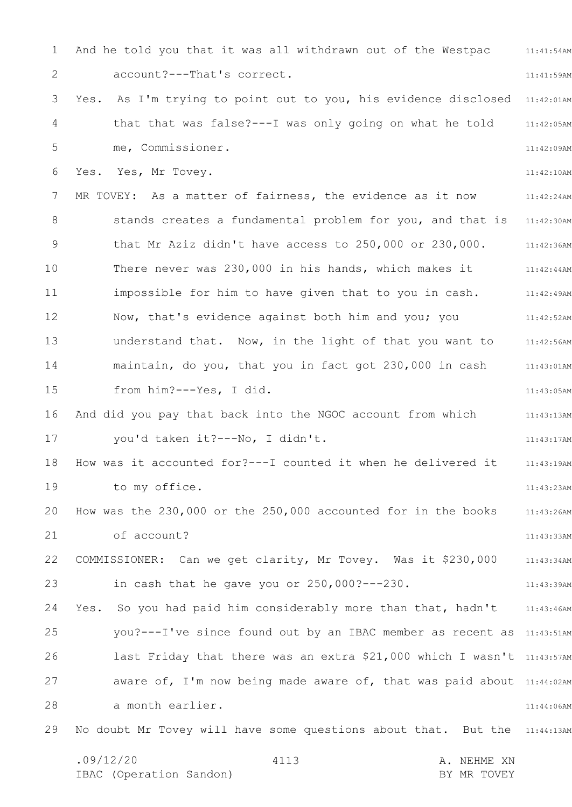1 2 3 4 5 6 7 8 9 10 11 12 13 14 15 16 17 18 19 20 21 22 23 24 25 26 27 28 29 11:41:54AM 11:41:59AM Yes. As I'm trying to point out to you, his evidence disclosed 11:42:01AM 11:42:05AM 11:42:09AM 11:42:10AM 11:42:24AM stands creates a fundamental problem for you, and that is 11:42:30AM 11:42:36AM 11:42:44AM 11:42:49AM 11:42:52AM 11:42:56AM 11:43:01AM 11:43:05AM 11:43:13AM 11:43:17AM 11:43:19AM 11:43:23AM 11:43:26AM 11:43:33AM 11:43:34AM 11:43:39AM Yes. So you had paid him considerably more than that, hadn't 11:43:46AM you? --- I've since found out by an IBAC member as recent as 11:43:51AM last Friday that there was an extra \$21,000 which I wasn't 11:43:57AM aware of, I'm now being made aware of, that was paid about 11:44:02AM 11:44:06AM No doubt Mr Tovey will have some questions about that. But the 11:44:13AM .09/12/20 4113 A. NEHME XN IBAC (Operation Sandon) and the set of the BY MR TOVEY 4113 And he told you that it was all withdrawn out of the Westpac account?---That's correct. that that was false?---I was only going on what he told me, Commissioner. Yes. Yes, Mr Tovey. MR TOVEY: As a matter of fairness, the evidence as it now that Mr Aziz didn't have access to 250,000 or 230,000. There never was 230,000 in his hands, which makes it impossible for him to have given that to you in cash. Now, that's evidence against both him and you; you understand that. Now, in the light of that you want to maintain, do you, that you in fact got 230,000 in cash from him?---Yes, I did. And did you pay that back into the NGOC account from which you'd taken it?---No, I didn't. How was it accounted for?---I counted it when he delivered it to my office. How was the 230,000 or the 250,000 accounted for in the books of account? COMMISSIONER: Can we get clarity, Mr Tovey. Was it \$230,000 in cash that he gave you or 250,000?---230. a month earlier.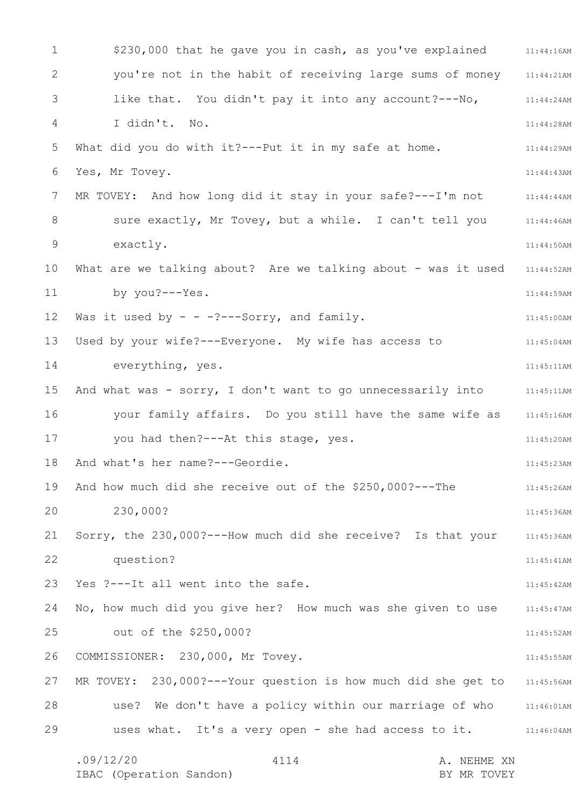1 2 3 4 5 6 7 8 9 10 11 12 13 14 15 16 17 18 19 20 21 22 23 24 25 26 27 28 29 \$230,000 that he gave you in cash, as you've explained 11:44:16AM 11:44:21AM 11:44:24AM 11:44:28AM 11:44:29AM 11:44:43AM MR TOVEY: And how long did it stay in your safe?---I'm not  $11:44:44$ AM sure exactly, Mr Tovey, but a while. I can't tell you 11:44:46AM 11:44:50AM 11:44:52AM 11:44:59AM 11:45:00AM 11:45:04AM 11:45:11AM And what was - sorry, I don't want to go unnecessarily into  $11:45:11$ AM your family affairs. Do you still have the same wife as 11:45:16AM 11:45:20AM 11:45:23AM 11:45:26AM 11:45:36AM 11:45:36AM 11:45:41AM 11:45:42AM No, how much did you give her? How much was she given to use 11:45:47AM 11:45:52AM 11:45:55AM MR TOVEY: 230,000?---Your question is how much did she get to 11:45:56AM use? We don't have a policy within our marriage of who 11:46:01AM uses what. It's a very open - she had access to it. 11:46:04AM .09/12/20 4114 A. NEHME XN 4114 you're not in the habit of receiving large sums of money like that. You didn't pay it into any account?---No, I didn't. No. What did you do with it?---Put it in my safe at home. Yes, Mr Tovey. exactly. What are we talking about? Are we talking about - was it used by you?---Yes. Was it used by  $- - -$ ?---Sorry, and family. Used by your wife?---Everyone. My wife has access to everything, yes. you had then?---At this stage, yes. And what's her name?---Geordie. And how much did she receive out of the \$250,000?---The 230,000? Sorry, the 230,000?---How much did she receive? Is that your question? Yes ?---It all went into the safe. out of the \$250,000? COMMISSIONER: 230,000, Mr Tovey.

IBAC (Operation Sandon) BY MR TOVEY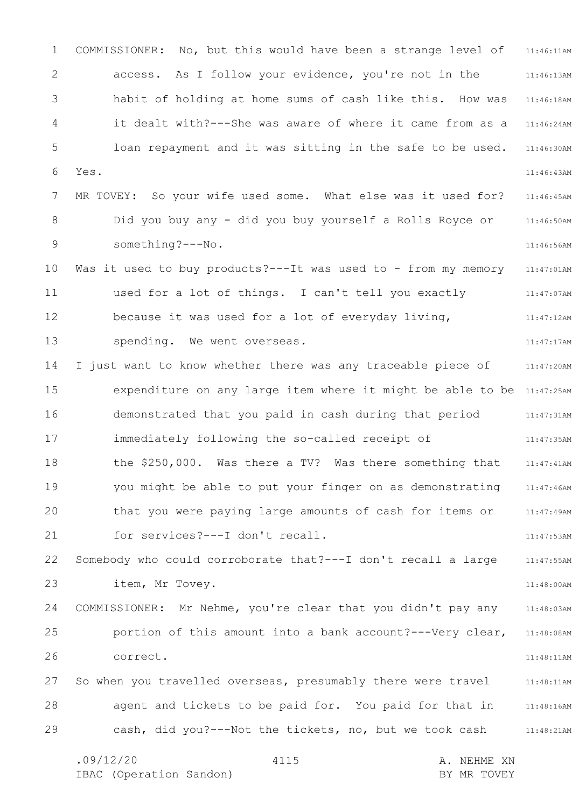1 2 3 4 5 6 7 8 9 10 11 12 13 14 15 16 17 18 19 20 21 22 23 24 25 26 27 28 29 11:46:11AM 11:46:13AM 11:46:18AM 11:46:24AM 11:46:30AM 11:46:43AM 11:46:45AM 11:46:50AM 11:46:56AM 11:47:01AM 11:47:07AM 11:47:12AM 11:47:17AM 11:47:20AM expenditure on any large item where it might be able to be 11:47:25AM 11:47:31AM 11:47:35AM 11:47:41AM 11:47:46AM 11:47:49AM 11:47:53AM 11:47:55AM 11:48:00AM 11:48:03AM 11:48:08AM 11:48:11AM 11:48:11AM 11:48:16AM 11:48:21AM .09/12/20 4115 A. NEHME XN 4115 COMMISSIONER: No, but this would have been a strange level of access. As I follow your evidence, you're not in the habit of holding at home sums of cash like this. How was it dealt with?---She was aware of where it came from as a loan repayment and it was sitting in the safe to be used. Yes. MR TOVEY: So your wife used some. What else was it used for? Did you buy any - did you buy yourself a Rolls Royce or something?---No. Was it used to buy products?---It was used to - from my memory used for a lot of things. I can't tell you exactly because it was used for a lot of everyday living, spending. We went overseas. I just want to know whether there was any traceable piece of demonstrated that you paid in cash during that period immediately following the so-called receipt of the \$250,000. Was there a TV? Was there something that you might be able to put your finger on as demonstrating that you were paying large amounts of cash for items or for services?---I don't recall. Somebody who could corroborate that?---I don't recall a large item, Mr Tovey. COMMISSIONER: Mr Nehme, you're clear that you didn't pay any portion of this amount into a bank account?---Very clear, correct. So when you travelled overseas, presumably there were travel agent and tickets to be paid for. You paid for that in cash, did you?---Not the tickets, no, but we took cash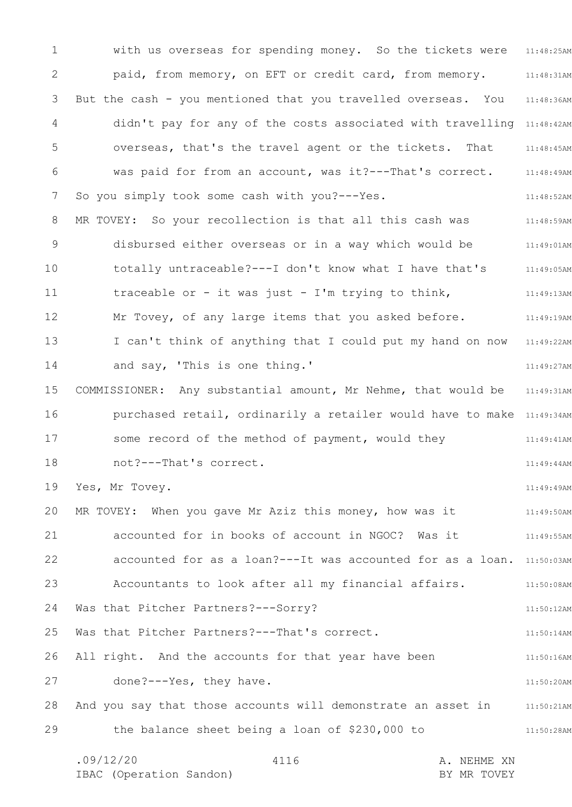1 2 3 4 5 6 7 8 9 10 11 12 13 14 15 16 17 18 19 20 21 22 23 24 25 26 27 28 29 with us overseas for spending money. So the tickets were 11:48:25AM 11:48:31AM 11:48:36AM didn't pay for any of the costs associated with travelling 11:48:42AM 11:48:45AM 11:48:49AM 11:48:52AM MR TOVEY: So your recollection is that all this cash was  $11:48:59$ AM 11:49:01AM 11:49:05AM 11:49:13AM 11:49:19AM I can't think of anything that I could put my hand on now 11:49:22AM 11:49:27AM 11:49:31AM purchased retail, ordinarily a retailer would have to make 11:49:34AM 11:49:41AM 11:49:44AM 11:49:49AM 11:49:50AM 11:49:55AM accounted for as a loan? --- It was accounted for as a loan. 11:50:03AM Accountants to look after all my financial affairs. The mass of  $11:50:08$ AM 11:50:12AM 11:50:14AM 11:50:16AM 11:50:20AM And you say that those accounts will demonstrate an asset in 11:50:21AM 11:50:28AM .09/12/20 4116 A. NEHME XN 4116 paid, from memory, on EFT or credit card, from memory. But the cash - you mentioned that you travelled overseas. You overseas, that's the travel agent or the tickets. That was paid for from an account, was it?---That's correct. So you simply took some cash with you?---Yes. disbursed either overseas or in a way which would be totally untraceable?---I don't know what I have that's traceable or - it was just - I'm trying to think, Mr Tovey, of any large items that you asked before. and say, 'This is one thing.' COMMISSIONER: Any substantial amount, Mr Nehme, that would be some record of the method of payment, would they not?---That's correct. Yes, Mr Tovey. MR TOVEY: When you gave Mr Aziz this money, how was it accounted for in books of account in NGOC? Was it Was that Pitcher Partners?---Sorry? Was that Pitcher Partners?---That's correct. All right. And the accounts for that year have been done?---Yes, they have. the balance sheet being a loan of \$230,000 to

IBAC (Operation Sandon) BY MR TOVEY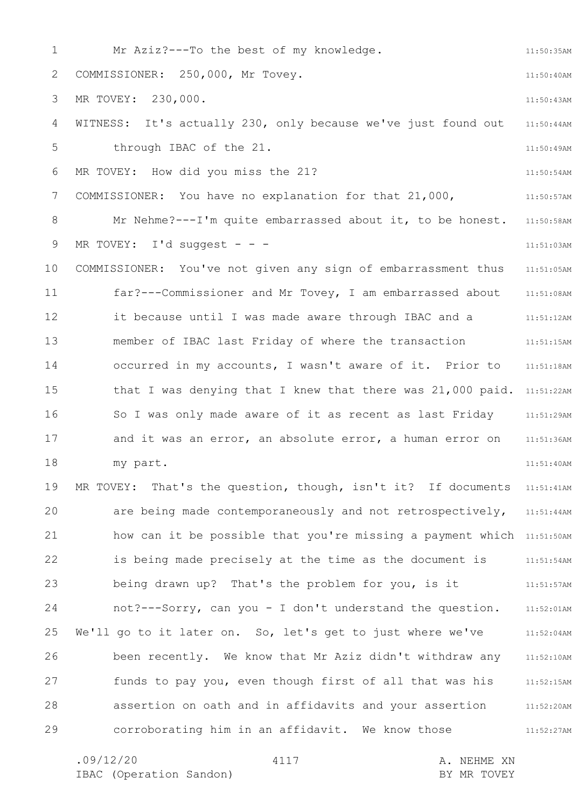1 2 3 4 5 6 7 8 9 10 11 12 13 14 15 16 17 18 19 20 21 22 23 24 25 26 27 28 29 11:50:35AM 11:50:40AM 11:50:43AM 11:50:44AM 11:50:49AM 11:50:54AM 11:50:57AM Mr Nehme?---I'm quite embarrassed about it, to be honest. 11:50:58AM 11:51:03AM 11:51:05AM 11:51:08AM 11:51:12AM 11:51:15AM 11:51:18AM that I was denying that I knew that there was 21,000 paid. 11:51:22AM 11:51:29AM 11:51:36AM 11:51:40AM MR TOVEY: That's the question, though, isn't it? If documents 11:51:41AM are being made contemporaneously and not retrospectively, 11:51:44AM how can it be possible that you're missing a payment which 11:51:50AM is being made precisely at the time as the document is 11:51:54AM 11:51:57AM not?---Sorry, can you - I don't understand the question. 11:52:01AM 11:52:04AM 11:52:10AM 11:52:15AM 11:52:20AM 11:52:27AM Mr Aziz?---To the best of my knowledge. COMMISSIONER: 250,000, Mr Tovey. MR TOVEY: 230,000. WITNESS: It's actually 230, only because we've just found out through IBAC of the 21. MR TOVEY: How did you miss the 21? COMMISSIONER: You have no explanation for that 21,000, MR TOVEY: I'd suggest - - -COMMISSIONER: You've not given any sign of embarrassment thus far?---Commissioner and Mr Tovey, I am embarrassed about it because until I was made aware through IBAC and a member of IBAC last Friday of where the transaction occurred in my accounts, I wasn't aware of it. Prior to So I was only made aware of it as recent as last Friday and it was an error, an absolute error, a human error on my part. being drawn up? That's the problem for you, is it We'll go to it later on. So, let's get to just where we've been recently. We know that Mr Aziz didn't withdraw any funds to pay you, even though first of all that was his assertion on oath and in affidavits and your assertion corroborating him in an affidavit. We know those

4117

.09/12/20 4117 A. NEHME XN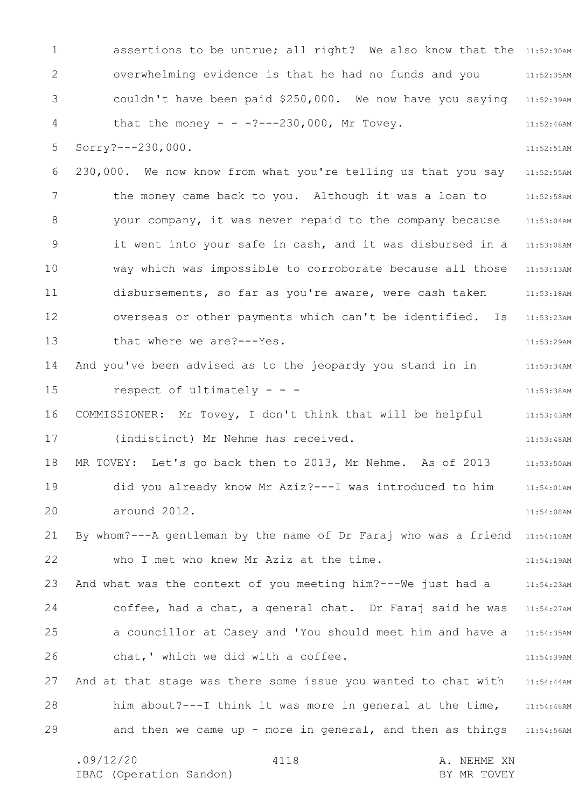1 2 3 4 5 6 7 8 9 10 11 12 13 14 15 16 17 18 19 20 21 22 23 24 25 26 27 28 29 assertions to be untrue; all right? We also know that the 11:52:30AM 11:52:35AM couldn't have been paid \$250,000. We now have you saying 11:52:39AM 11:52:46AM 11:52:51AM 11:52:55AM the money came back to you. Although it was a loan to 11:52:58AM 11:53:04AM it went into your safe in cash, and it was disbursed in a 11:53:08AM 11:53:13AM 11:53:18AM 11:53:23AM 11:53:29AM 11:53:34AM 11:53:38AM 11:53:43AM 11:53:48AM 11:53:50AM 11:54:01AM 11:54:08AM By whom?---A gentleman by the name of Dr Faraj who was a friend 11:54:10AM 11:54:19AM And what was the context of you meeting him?---We just had a 11:54:23AM coffee, had a chat, a general chat. Dr Faraj said he was 11:54:27AM 11:54:35AM 11:54:39AM 11:54:44AM him about?---I think it was more in general at the time, 11:54:48AM and then we came up - more in general, and then as things 11:54:56AM overwhelming evidence is that he had no funds and you that the money - -  $-2$ ---230,000, Mr Tovey. Sorry?---230,000. 230,000. We now know from what you're telling us that you say your company, it was never repaid to the company because way which was impossible to corroborate because all those disbursements, so far as you're aware, were cash taken overseas or other payments which can't be identified. Is that where we are?---Yes. And you've been advised as to the jeopardy you stand in in respect of ultimately  $-$  -  $-$ COMMISSIONER: Mr Tovey, I don't think that will be helpful (indistinct) Mr Nehme has received. MR TOVEY: Let's go back then to 2013, Mr Nehme. As of 2013 did you already know Mr Aziz?---I was introduced to him around 2012. who I met who knew Mr Aziz at the time. a councillor at Casey and 'You should meet him and have a chat,' which we did with a coffee. And at that stage was there some issue you wanted to chat with

.09/12/20 4118 A. NEHME XN IBAC (Operation Sandon) and the set of the BY MR TOVEY 4118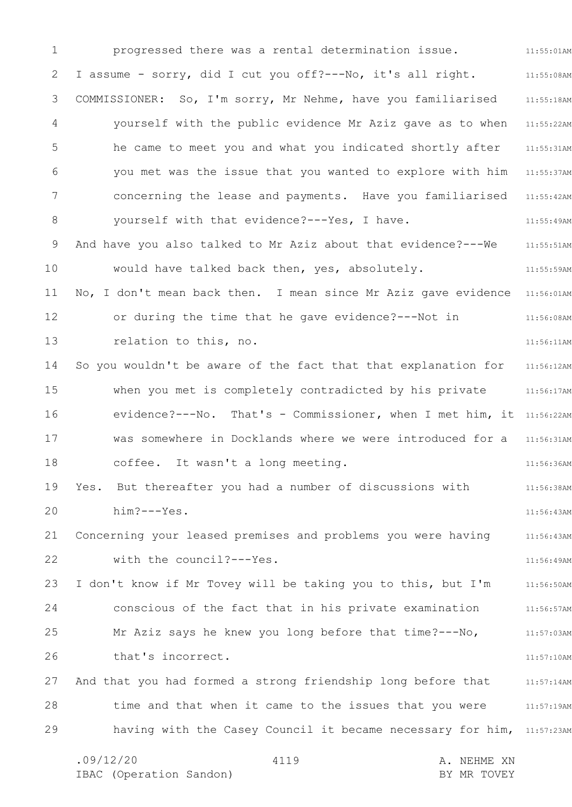1 2 3 4 5 6 7 8 9 10 11 12 13 14 15 16 17 18 19 20 21 22 23 24 25 26 27 28 29 11:55:01AM 11:55:08AM 11:55:18AM yourself with the public evidence Mr Aziz gave as to when 11:55:22AM 11:55:31AM you met was the issue that you wanted to explore with him 11:55:37AM 11:55:42AM 11:55:49AM 11:55:51AM 11:55:59AM No, I don't mean back then. I mean since Mr Aziz gave evidence 11:56:01AM 11:56:08AM 11:56:11AM 11:56:12AM when you met is completely contradicted by his private 11:56:17AM evidence?---No. That's - Commissioner, when I met him, it 11:56:22AM Was somewhere in Docklands where we were introduced for a 11:56:31AM 11:56:36AM 11:56:38AM 11:56:43AM 11:56:43AM 11:56:49AM 11:56:50AM 11:56:57AM 11:57:03AM 11:57:10AM 11:57:14AM time and that when it came to the issues that you were 11:57:19AM having with the Casey Council it became necessary for him, 11:57:23AM .09/12/20 4119 4119 A. NEHME XN 4119 progressed there was a rental determination issue. I assume - sorry, did I cut you off?---No, it's all right. COMMISSIONER: So, I'm sorry, Mr Nehme, have you familiarised he came to meet you and what you indicated shortly after concerning the lease and payments. Have you familiarised yourself with that evidence?---Yes, I have. And have you also talked to Mr Aziz about that evidence?---We would have talked back then, yes, absolutely. or during the time that he gave evidence?---Not in relation to this, no. So you wouldn't be aware of the fact that that explanation for coffee. It wasn't a long meeting. Yes. But thereafter you had a number of discussions with him?---Yes. Concerning your leased premises and problems you were having with the council?---Yes. I don't know if Mr Tovey will be taking you to this, but I'm conscious of the fact that in his private examination Mr Aziz says he knew you long before that time?---No, that's incorrect. And that you had formed a strong friendship long before that

IBAC (Operation Sandon) BY MR TOVEY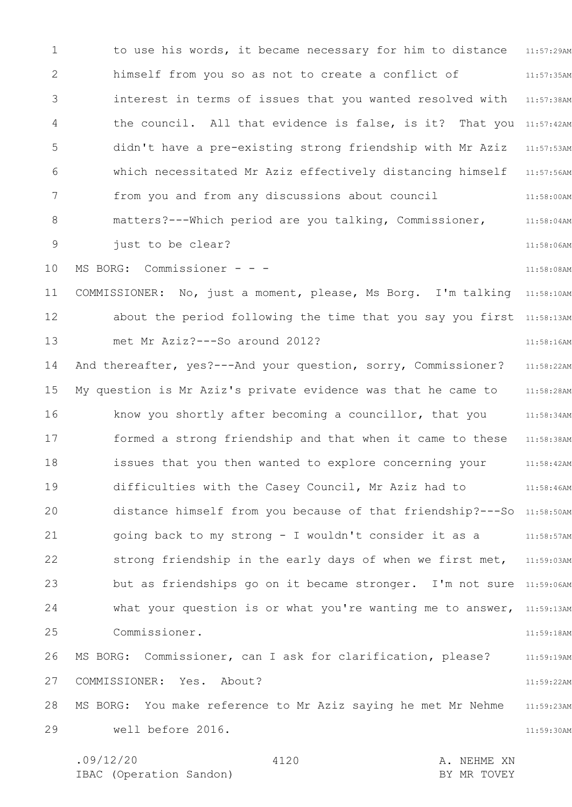1 2 3 4 5 6 7 8 9 10 11 12 13 14 15 16 17 18 19 20 21 22 23 24 25 26 27 28 29 11:57:29AM 11:57:35AM 11:57:38AM the council. All that evidence is false, is it? That you 11:57:42AM 11:57:53AM 11:57:56AM 11:58:00AM 11:58:04AM 11:58:06AM 11:58:08AM COMMISSIONER: No, just a moment, please, Ms Borg. I'm talking 11:58:10AM about the period following the time that you say you first 11:58:13AM 11:58:16AM 11:58:22AM 11:58:28AM know you shortly after becoming a councillor, that you 11:58:34AM formed a strong friendship and that when it came to these 11:58:38AM 11:58:42AM 11:58:46AM distance himself from you because of that friendship?---So 11:58:50AM 11:58:57AM strong friendship in the early days of when we first met, 11:59:03AM but as friendships go on it became stronger. I'm not sure 11:59:06AM what your question is or what you're wanting me to answer, 11:59:13AM 11:59:18AM 11:59:19AM 11:59:22AM 11:59:23AM 11:59:30AM to use his words, it became necessary for him to distance himself from you so as not to create a conflict of interest in terms of issues that you wanted resolved with didn't have a pre-existing strong friendship with Mr Aziz which necessitated Mr Aziz effectively distancing himself from you and from any discussions about council matters?---Which period are you talking, Commissioner, just to be clear? MS BORG: Commissioner - - met Mr Aziz?---So around 2012? And thereafter, yes?---And your question, sorry, Commissioner? My question is Mr Aziz's private evidence was that he came to issues that you then wanted to explore concerning your difficulties with the Casey Council, Mr Aziz had to going back to my strong - I wouldn't consider it as a Commissioner. MS BORG: Commissioner, can I ask for clarification, please? COMMISSIONER: Yes. About? MS BORG: You make reference to Mr Aziz saying he met Mr Nehme well before 2016.

4120

.09/12/20 4120 A. NEHME XN IBAC (Operation Sandon) and the set of the BY MR TOVEY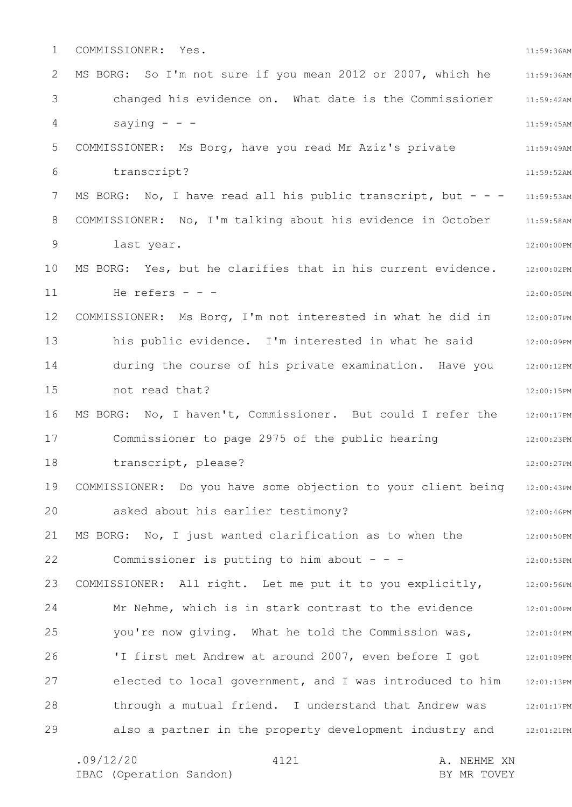1 2 3 4 5 6 7 8 9 10 11 12 13 14 15 16 17 18 19 20 21 22 23 24 25 26 27 28 29 11:59:36AM 11:59:36AM 11:59:42AM 11:59:45AM 11:59:49AM 11:59:52AM MS BORG: No, I have read all his public transcript, but - - - 11:59:53AM COMMISSIONER: No, I'm talking about his evidence in October 11:59:58AM 12:00:00PM 12:00:02PM 12:00:05PM COMMISSIONER: Ms Borg, I'm not interested in what he did in 12:00:07PM 12:00:09PM 12:00:12PM 12:00:15PM MS BORG: No, I haven't, Commissioner. But could I refer the 12:00:17PM 12:00:23PM 12:00:27PM 12:00:43PM 12:00:46PM 12:00:50PM 12:00:53PM COMMISSIONER: All right. Let me put it to you explicitly, 312:00:56PM 12:01:00PM 12:01:04PM 12:01:09PM 12:01:13PM through a mutual friend. I understand that Andrew was 12:01:17PM also a partner in the property development industry and 12:01:21PM COMMISSIONER: Yes. MS BORG: So I'm not sure if you mean 2012 or 2007, which he changed his evidence on. What date is the Commissioner saying  $-$ COMMISSIONER: Ms Borg, have you read Mr Aziz's private transcript? last year. MS BORG: Yes, but he clarifies that in his current evidence. He refers  $-$ his public evidence. I'm interested in what he said during the course of his private examination. Have you not read that? Commissioner to page 2975 of the public hearing transcript, please? COMMISSIONER: Do you have some objection to your client being asked about his earlier testimony? MS BORG: No, I just wanted clarification as to when the Commissioner is putting to him about  $- -$ Mr Nehme, which is in stark contrast to the evidence you're now giving. What he told the Commission was, 'I first met Andrew at around 2007, even before I got elected to local government, and I was introduced to him

4121

.09/12/20 4121 A. NEHME XN IBAC (Operation Sandon) and the set of the BY MR TOVEY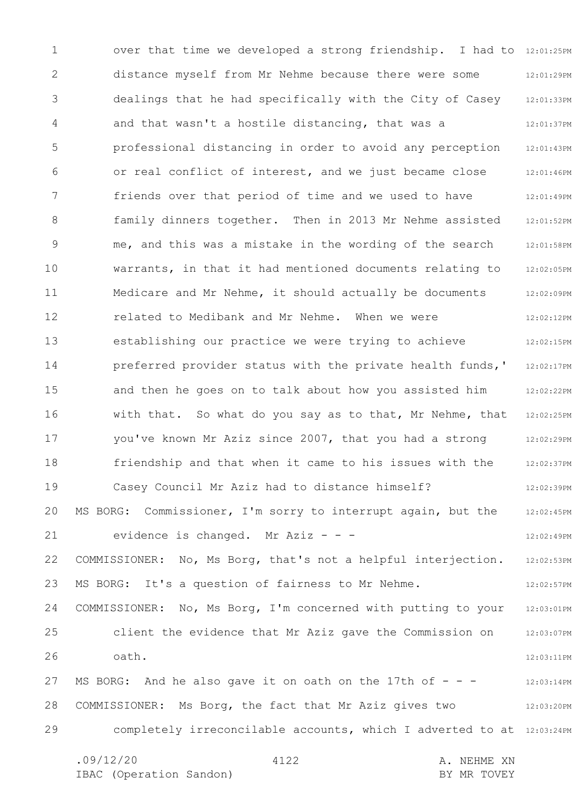1 2 3 4 5 6 7 8 9 10 11 12 13 14 15 16 17 18 19 20 21 22 23 24 25 26 27 28 29 over that time we developed a strong friendship. I had to 12:01:25PM 12:01:29PM 12:01:33PM 12:01:37PM 12:01:43PM 12:01:46PM 12:01:49PM 12:01:52PM 12:01:58PM 12:02:05PM 12:02:09PM 12:02:12PM 12:02:15PM 12:02:17PM 12:02:22PM 12:02:25PM 12:02:29PM 12:02:37PM 12:02:39PM 12:02:45PM 12:02:49PM 12:02:53PM 12:02:57PM 12:03:01PM 12:03:07PM 12:03:11PM 12:03:14PM 12:03:20PM completely irreconcilable accounts, which I adverted to at 12:03:24PM .09/12/20 4122 A. NEHME XN 4122 distance myself from Mr Nehme because there were some dealings that he had specifically with the City of Casey and that wasn't a hostile distancing, that was a professional distancing in order to avoid any perception or real conflict of interest, and we just became close friends over that period of time and we used to have family dinners together. Then in 2013 Mr Nehme assisted me, and this was a mistake in the wording of the search warrants, in that it had mentioned documents relating to Medicare and Mr Nehme, it should actually be documents related to Medibank and Mr Nehme. When we were establishing our practice we were trying to achieve preferred provider status with the private health funds,' and then he goes on to talk about how you assisted him with that. So what do you say as to that, Mr Nehme, that you've known Mr Aziz since 2007, that you had a strong friendship and that when it came to his issues with the Casey Council Mr Aziz had to distance himself? MS BORG: Commissioner, I'm sorry to interrupt again, but the evidence is changed. Mr Aziz - - -COMMISSIONER: No, Ms Borg, that's not a helpful interjection. MS BORG: It's a question of fairness to Mr Nehme. COMMISSIONER: No, Ms Borg, I'm concerned with putting to your client the evidence that Mr Aziz gave the Commission on oath. MS BORG: And he also gave it on oath on the 17th of  $- -$ COMMISSIONER: Ms Borg, the fact that Mr Aziz gives two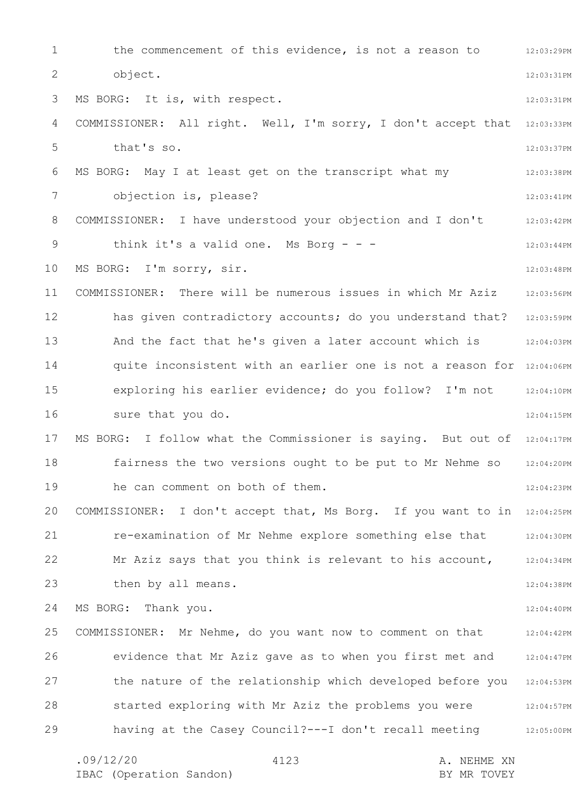1 2 3 4 5 6 7 8 9 10 11 12 13 14 15 16 17 18 19 20 21 22 23 24 25 26 27 28 29 12:03:29PM 12:03:31PM 12:03:31PM COMMISSIONER: All right. Well, I'm sorry, I don't accept that 12:03:33PM 12:03:37PM 12:03:38PM 12:03:41PM 12:03:42PM 12:03:44PM 12:03:48PM 12:03:56PM has given contradictory accounts; do you understand that? 12:03:59PM 12:04:03PM quite inconsistent with an earlier one is not a reason for 12:04:06PM 12:04:10PM 12:04:15PM MS BORG: I follow what the Commissioner is saying. But out of 12:04:17PM 12:04:20PM 12:04:23PM COMMISSIONER: I don't accept that, Ms Borg. If you want to in 12:04:25PM 12:04:30PM 12:04:34PM 12:04:38PM 12:04:40PM 12:04:42PM 12:04:47PM the nature of the relationship which developed before you 12:04:53PM 12:04:57PM 12:05:00PM .09/12/20 4123 A. NEHME XN 4123 the commencement of this evidence, is not a reason to object. MS BORG: It is, with respect. that's so. MS BORG: May I at least get on the transcript what my objection is, please? COMMISSIONER: I have understood your objection and I don't think it's a valid one. Ms Borg  $- -$ MS BORG: I'm sorry, sir. COMMISSIONER: There will be numerous issues in which Mr Aziz And the fact that he's given a later account which is exploring his earlier evidence; do you follow? I'm not sure that you do. fairness the two versions ought to be put to Mr Nehme so he can comment on both of them. re-examination of Mr Nehme explore something else that Mr Aziz says that you think is relevant to his account, then by all means. MS BORG: Thank you. COMMISSIONER: Mr Nehme, do you want now to comment on that evidence that Mr Aziz gave as to when you first met and started exploring with Mr Aziz the problems you were having at the Casey Council?---I don't recall meeting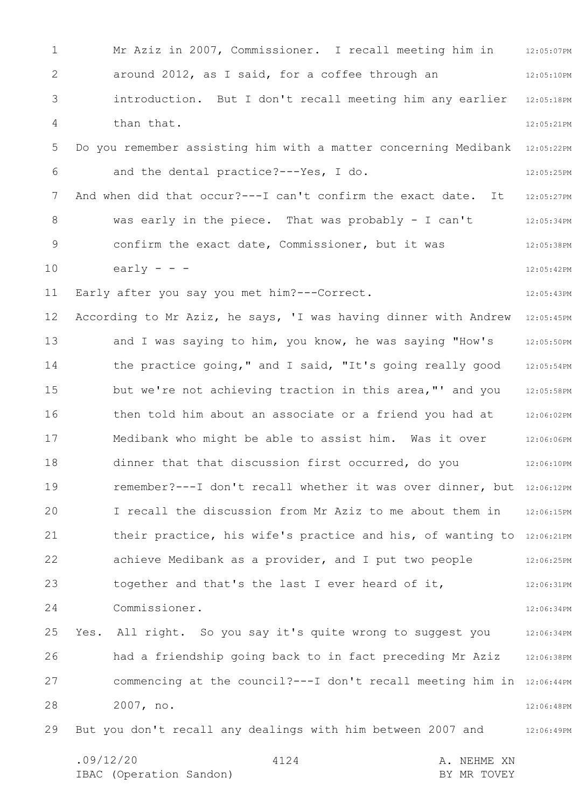1 2 3 4 5 6 7 8 9 10 11 12 13 14 15 16 17 18 19 20 21 22 23 24 25 26 27 28 29 12:05:07PM 12:05:10PM 12:05:18PM 12:05:21PM 12:05:22PM 12:05:25PM 12:05:27PM 12:05:34PM 12:05:38PM 12:05:42PM 12:05:43PM According to Mr Aziz, he says, 'I was having dinner with Andrew 12:05:45PM 12:05:50PM 12:05:54PM 12:05:58PM 12:06:02PM 12:06:06PM 12:06:10PM remember?---I don't recall whether it was over dinner, but 12:06:12PM 12:06:15PM their practice, his wife's practice and his, of wanting to 12:06:21PM 12:06:25PM 12:06:31PM 12:06:34PM 12:06:34PM 12:06:38PM commencing at the council?---I don't recall meeting him in 12:06:44PM 12:06:48PM 12:06:49PM .09/12/20 4124 A. NEHME XN IBAC (Operation Sandon) and the set of the BY MR TOVEY 4124 Mr Aziz in 2007, Commissioner. I recall meeting him in around 2012, as I said, for a coffee through an introduction. But I don't recall meeting him any earlier than that. Do you remember assisting him with a matter concerning Medibank and the dental practice?---Yes, I do. And when did that occur?---I can't confirm the exact date. It was early in the piece. That was probably - I can't confirm the exact date, Commissioner, but it was early  $-$ Early after you say you met him?---Correct. and I was saying to him, you know, he was saying "How's the practice going," and I said, "It's going really good but we're not achieving traction in this area,"' and you then told him about an associate or a friend you had at Medibank who might be able to assist him. Was it over dinner that that discussion first occurred, do you I recall the discussion from Mr Aziz to me about them in achieve Medibank as a provider, and I put two people together and that's the last I ever heard of it, Commissioner. Yes. All right. So you say it's quite wrong to suggest you had a friendship going back to in fact preceding Mr Aziz 2007, no. But you don't recall any dealings with him between 2007 and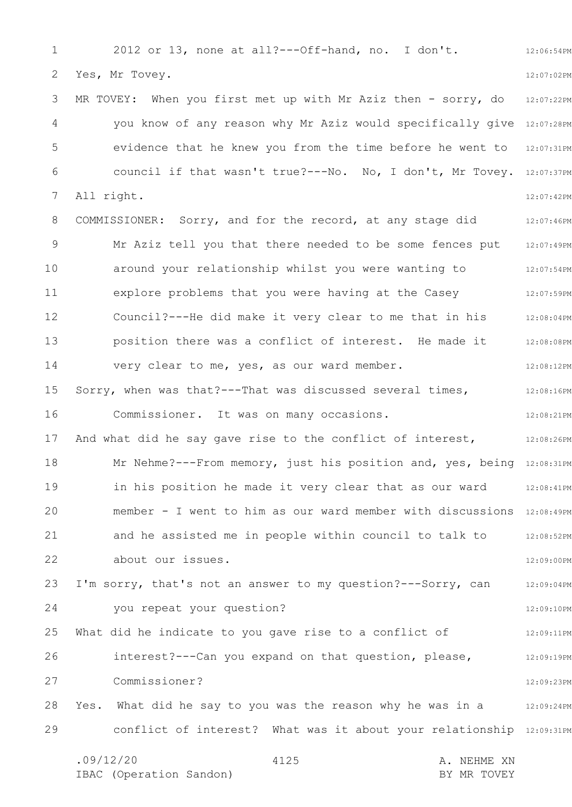1 2 3 4 5 6 7 8 9 10 11 12 13 14 15 16 17 18 19 20 21 22 23 24 25 26 27 28 29 12:06:54PM 12:07:02PM 12:07:22PM you know of any reason why Mr Aziz would specifically give 12:07:28PM evidence that he knew you from the time before he went to 12:07:31PM council if that wasn't true?---No. No, I don't, Mr Tovey. 12:07:37PM 12:07:42PM COMMISSIONER: Sorry, and for the record, at any stage did 12:07:46PM 12:07:49PM 12:07:54PM 12:07:59PM Council?---He did make it very clear to me that in his 12:08:04PM 12:08:08PM 12:08:12PM 12:08:16PM 12:08:21PM 12:08:26PM Mr Nehme?---From memory, just his position and, yes, being 12:08:31PM 12:08:41PM member - I went to him as our ward member with discussions 12:08:49PM 12:08:52PM 12:09:00PM 12:09:04PM 12:09:10PM 12:09:11PM 12:09:19PM 12:09:23PM Yes. What did he say to you was the reason why he was in a 12:09:24PM conflict of interest? What was it about your relationship 12:09:31PM .09/12/20 4125 A. NEHME XN 4125 2012 or 13, none at all?---Off-hand, no. I don't. Yes, Mr Tovey. MR TOVEY: When you first met up with Mr Aziz then - sorry, do All right. Mr Aziz tell you that there needed to be some fences put around your relationship whilst you were wanting to explore problems that you were having at the Casey position there was a conflict of interest. He made it very clear to me, yes, as our ward member. Sorry, when was that?---That was discussed several times, Commissioner. It was on many occasions. And what did he say gave rise to the conflict of interest, in his position he made it very clear that as our ward and he assisted me in people within council to talk to about our issues. I'm sorry, that's not an answer to my question?---Sorry, can you repeat your question? What did he indicate to you gave rise to a conflict of interest?---Can you expand on that question, please, Commissioner?

IBAC (Operation Sandon) BY MR TOVEY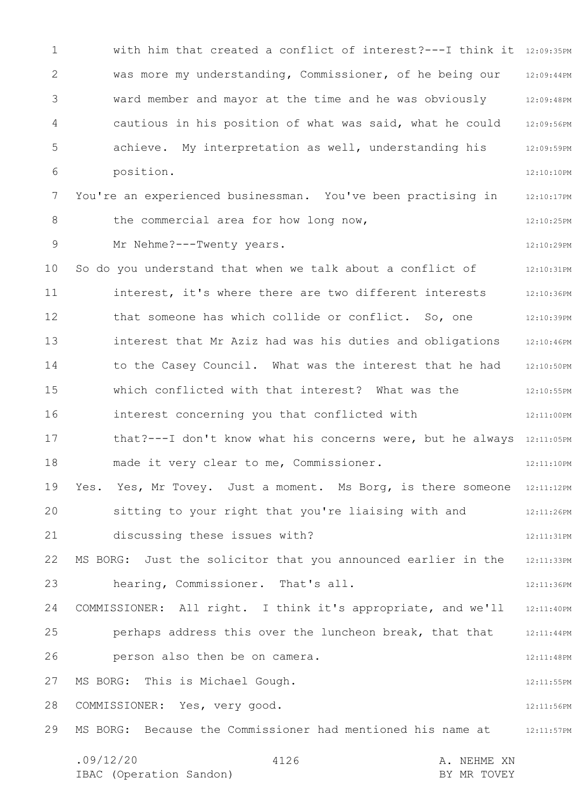1 2 3 4 5 6 7 8 9 10 11 12 13 14 15 16 17 18 19 20 21 22 23 24 25 26 27 28 29 with him that created a conflict of interest?---I think it 12:09:35PM 12:09:44PM ward member and mayor at the time and he was obviously 32:09:48PM 12:09:56PM 12:09:59PM 12:10:10PM 12:10:17PM 12:10:25PM 12:10:29PM 12:10:31PM 12:10:36PM that someone has which collide or conflict. So, one 12:10:39PM 12:10:46PM 12:10:50PM 12:10:55PM 12:11:00PM that?---I don't know what his concerns were, but he always 12:11:05PM 12:11:10PM Yes. Yes, Mr Tovey. Just a moment. Ms Borg, is there someone 12:11:12PM 12:11:26PM 12:11:31PM 12:11:33PM 12:11:36PM COMMISSIONER: All right. I think it's appropriate, and we'll 12:11:40PM 12:11:44PM 12:11:48PM 12:11:55PM 12:11:56PM MS BORG: Because the Commissioner had mentioned his name at 12:11:57PM .09/12/20 4126 A. NEHME XN 4126 was more my understanding, Commissioner, of he being our cautious in his position of what was said, what he could achieve. My interpretation as well, understanding his position. You're an experienced businessman. You've been practising in the commercial area for how long now, Mr Nehme?---Twenty years. So do you understand that when we talk about a conflict of interest, it's where there are two different interests interest that Mr Aziz had was his duties and obligations to the Casey Council. What was the interest that he had which conflicted with that interest? What was the interest concerning you that conflicted with made it very clear to me, Commissioner. sitting to your right that you're liaising with and discussing these issues with? MS BORG: Just the solicitor that you announced earlier in the hearing, Commissioner. That's all. perhaps address this over the luncheon break, that that person also then be on camera. MS BORG: This is Michael Gough. COMMISSIONER: Yes, very good.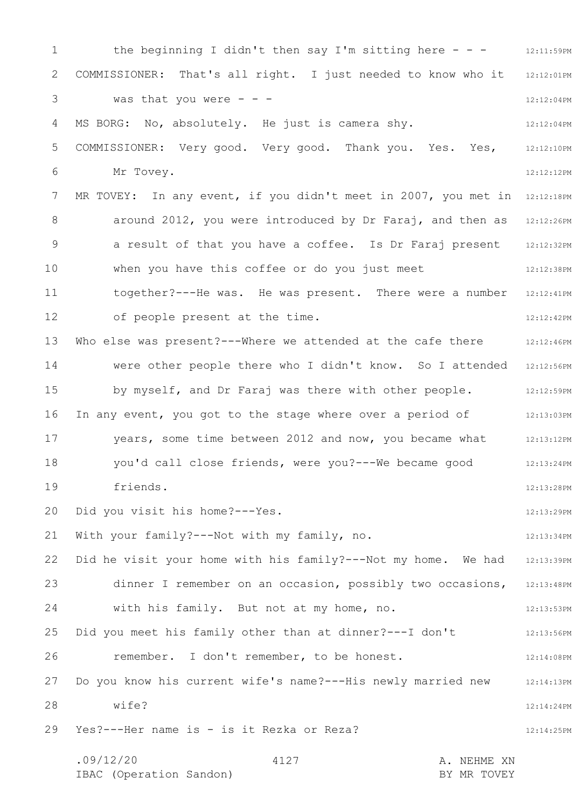1 2 3 4 5 6 7 8 9 10 11 12 13 14 15 16 17 18 19 20 21 22 23 24 25 26 27 28 29 the beginning I didn't then say I'm sitting here  $-$  -  $-$  12:11:59PM 12:12:01PM 12:12:04PM 12:12:04PM 12:12:10PM 12:12:12PM MR TOVEY: In any event, if you didn't meet in 2007, you met in 12:12:18PM around 2012, you were introduced by Dr Faraj, and then as 12:12:26PM 12:12:32PM 12:12:38PM 12:12:41PM 12:12:42PM 12:12:46PM Were other people there who I didn't know. So I attended 12:12:56PM 12:12:59PM In any event, you got to the stage where over a period of and 12:13:03PM 12:13:12PM 12:13:24PM 12:13:28PM 12:13:29PM 12:13:34PM 12:13:39PM 12:13:48PM 12:13:53PM 12:13:56PM 12:14:08PM 12:14:13PM 12:14:24PM 12:14:25PM .09/12/20 4127 4120 A. NEHME XN 4127 COMMISSIONER: That's all right. I just needed to know who it was that you were  $- -$ MS BORG: No, absolutely. He just is camera shy. COMMISSIONER: Very good. Very good. Thank you. Yes. Yes, Mr Tovey. a result of that you have a coffee. Is Dr Faraj present when you have this coffee or do you just meet together?---He was. He was present. There were a number of people present at the time. Who else was present?---Where we attended at the cafe there by myself, and Dr Faraj was there with other people. years, some time between 2012 and now, you became what you'd call close friends, were you?---We became good friends. Did you visit his home?---Yes. With your family?---Not with my family, no. Did he visit your home with his family?---Not my home. We had dinner I remember on an occasion, possibly two occasions, with his family. But not at my home, no. Did you meet his family other than at dinner?---I don't remember. I don't remember, to be honest. Do you know his current wife's name?---His newly married new wife? Yes?---Her name is - is it Rezka or Reza?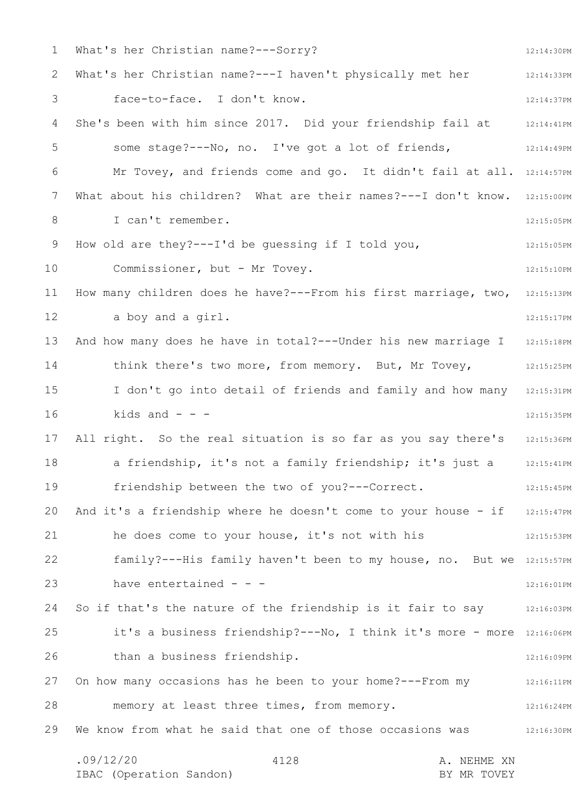1 2 3 4 5 6 7 8 9 10 11 12 13 14 15 16 17 18 19 20 21 22 23 24 25 26 27 28 29 12:14:30PM 12:14:33PM 12:14:37PM She's been with him since 2017. Did your friendship fail at 12:14:41PM 12:14:49PM Mr Tovey, and friends come and go. It didn't fail at all. 12:14:57PM What about his children? What are their names?---I don't know. 12:15:00PM 12:15:05PM 12:15:05PM 12:15:10PM How many children does he have?---From his first marriage, two, 12:15:13PM 12:15:17PM 12:15:18PM 12:15:25PM I don't go into detail of friends and family and how many 12:15:31PM 12:15:35PM 12:15:36PM 12:15:41PM 12:15:45PM And it's a friendship where he doesn't come to your house - if 12:15:47PM 12:15:53PM family?---His family haven't been to my house, no. But we 12:15:57PM 12:16:01PM So if that's the nature of the friendship is it fair to say 12:16:03PM it's a business friendship? --- No, I think it's more - more 12:16:06PM 12:16:09PM On how many occasions has he been to your home?---From my 12:16:11PM 12:16:24PM We know from what he said that one of those occasions was 312:16:30PM .09/12/20 4128 A. NEHME XN 4128 What's her Christian name?---Sorry? What's her Christian name?---I haven't physically met her face-to-face. I don't know. some stage?---No, no. I've got a lot of friends, I can't remember. How old are they?---I'd be guessing if I told you, Commissioner, but - Mr Tovey. a boy and a girl. And how many does he have in total?---Under his new marriage I think there's two more, from memory. But, Mr Tovey, kids and  $-$ All right. So the real situation is so far as you say there's a friendship, it's not a family friendship; it's just a friendship between the two of you?---Correct. he does come to your house, it's not with his have entertained - - than a business friendship. memory at least three times, from memory.

IBAC (Operation Sandon) BY MR TOVEY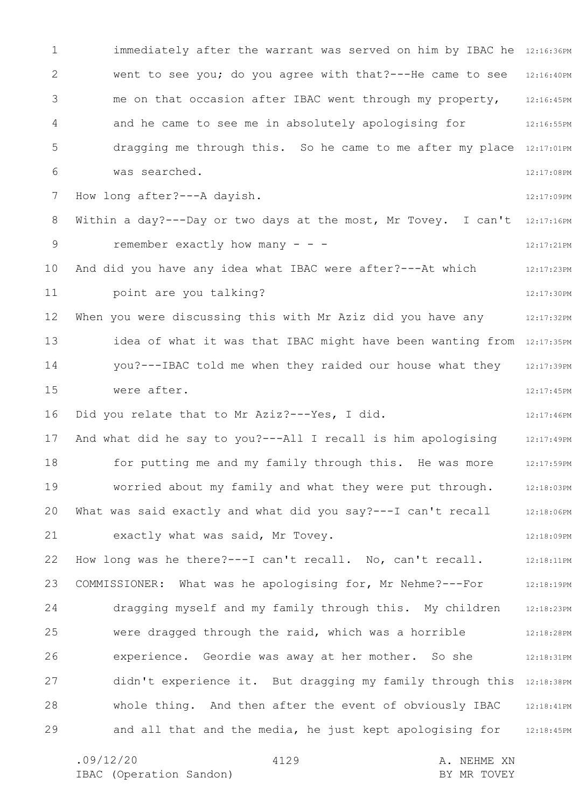1 2 3 4 5 6 7 8 9 10 11 12 13 14 15 16 17 18 19 20 21 22 23 24 25 26 27 28 29 immediately after the warrant was served on him by IBAC he 12:16:36PM went to see you; do you agree with that?---He came to see 12:16:40PM 12:16:45PM 12:16:55PM dragging me through this. So he came to me after my place 12:17:01PM 12:17:08PM 12:17:09PM Within a day?---Day or two days at the most, Mr Tovey. I can't  $12:17:16$ PM 12:17:21PM 12:17:23PM 12:17:30PM 12:17:32PM idea of what it was that IBAC might have been wanting from 12:17:35PM 12:17:39PM 12:17:45PM 12:17:46PM 12:17:49PM 12:17:59PM 12:18:03PM 12:18:06PM 12:18:09PM 12:18:11PM 12:18:19PM 12:18:23PM 12:18:28PM 12:18:31PM didn't experience it. But dragging my family through this 12:18:38PM 12:18:41PM and all that and the media, he just kept apologising for 12:18:45PM me on that occasion after IBAC went through my property, and he came to see me in absolutely apologising for was searched. How long after?---A dayish. remember exactly how many  $- -$ And did you have any idea what IBAC were after?---At which point are you talking? When you were discussing this with Mr Aziz did you have any you?---IBAC told me when they raided our house what they were after. Did you relate that to Mr Aziz?---Yes, I did. And what did he say to you?---All I recall is him apologising for putting me and my family through this. He was more worried about my family and what they were put through. What was said exactly and what did you say?---I can't recall exactly what was said, Mr Tovey. How long was he there?---I can't recall. No, can't recall. COMMISSIONER: What was he apologising for, Mr Nehme?---For dragging myself and my family through this. My children were dragged through the raid, which was a horrible experience. Geordie was away at her mother. So she whole thing. And then after the event of obviously IBAC

4129

.09/12/20 4129 A. NEHME XN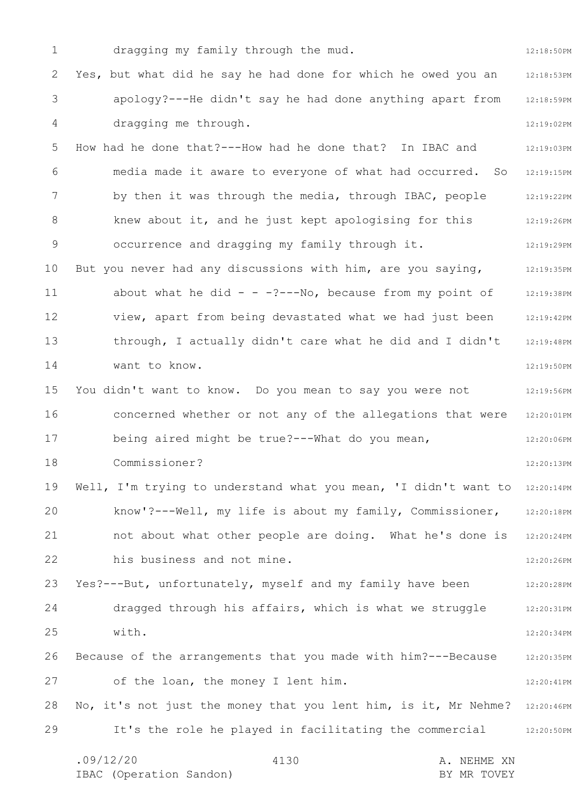1 2 3 4 5 6 7 8 9 10 11 12 13 14 15 16 17 18 19 20 21 22 23 24 25 26 27 28 29 12:18:50PM 12:18:53PM 12:18:59PM 12:19:02PM 12:19:03PM 12:19:15PM 12:19:22PM 12:19:26PM 12:19:29PM 12:19:35PM 12:19:38PM 12:19:42PM 12:19:48PM 12:19:50PM 12:19:56PM 12:20:01PM 12:20:06PM 12:20:13PM Well, I'm trying to understand what you mean, 'I didn't want to 12:20:14PM 12:20:18PM 12:20:24PM 12:20:26PM 12:20:28PM 12:20:31PM 12:20:34PM 12:20:35PM 12:20:41PM No, it's not just the money that you lent him, is it, Mr Nehme? 12:20:46PM 12:20:50PM .09/12/20 4130 A. NEHME XN 4130 dragging my family through the mud. Yes, but what did he say he had done for which he owed you an apology?---He didn't say he had done anything apart from dragging me through. How had he done that?---How had he done that? In IBAC and media made it aware to everyone of what had occurred. So by then it was through the media, through IBAC, people knew about it, and he just kept apologising for this occurrence and dragging my family through it. But you never had any discussions with him, are you saying, about what he did  $- -$  -?---No, because from my point of view, apart from being devastated what we had just been through, I actually didn't care what he did and I didn't want to know. You didn't want to know. Do you mean to say you were not concerned whether or not any of the allegations that were being aired might be true?---What do you mean, Commissioner? know'?---Well, my life is about my family, Commissioner, not about what other people are doing. What he's done is his business and not mine. Yes?---But, unfortunately, myself and my family have been dragged through his affairs, which is what we struggle with. Because of the arrangements that you made with him?---Because of the loan, the money I lent him. It's the role he played in facilitating the commercial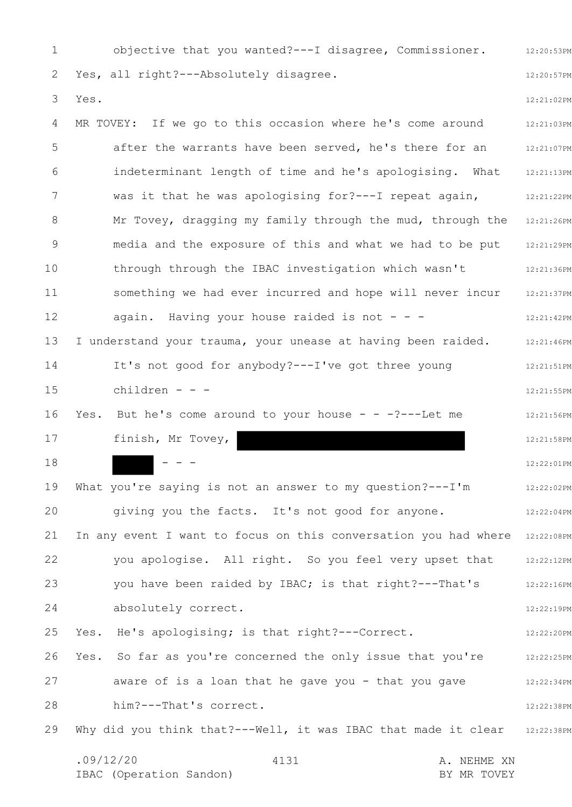1 2 3 4 5 6 7 8 9 10 11 12 13 14 15 16 17 18 19 20 21 22 23 24 25 26 27 28 29 12:20:53PM 12:20:57PM 12:21:02PM 12:21:03PM 12:21:07PM 12:21:13PM 12:21:22PM 12:21:26PM 12:21:29PM 12:21:36PM 12:21:37PM 12:21:42PM 12:21:46PM 12:21:51PM 12:21:55PM 12:21:56PM 12:21:58PM 12:22:01PM 12:22:02PM 12:22:04PM In any event I want to focus on this conversation you had where 12:22:08PM 12:22:12PM 12:22:16PM 12:22:19PM 12:22:20PM 12:22:25PM 12:22:34PM 12:22:38PM Why did you think that?---Well, it was IBAC that made it clear 32:22:38PM .09/12/20 4131 A. NEHME XN IBAC (Operation Sandon) and the set of the BY MR TOVEY 4131 objective that you wanted?---I disagree, Commissioner. Yes, all right?---Absolutely disagree. Yes. MR TOVEY: If we go to this occasion where he's come around after the warrants have been served, he's there for an indeterminant length of time and he's apologising. What was it that he was apologising for?---I repeat again, Mr Tovey, dragging my family through the mud, through the media and the exposure of this and what we had to be put through through the IBAC investigation which wasn't something we had ever incurred and hope will never incur again. Having your house raided is not  $- -$ I understand your trauma, your unease at having been raided. It's not good for anybody?---I've got three young children - - - Yes. But he's come around to your house  $- -$  -?---Let me finish, Mr Tovey,  $- - -$ What you're saying is not an answer to my question?---I'm giving you the facts. It's not good for anyone. you apologise. All right. So you feel very upset that you have been raided by IBAC; is that right?---That's absolutely correct. Yes. He's apologising; is that right?---Correct. Yes. So far as you're concerned the only issue that you're aware of is a loan that he gave you - that you gave him?---That's correct.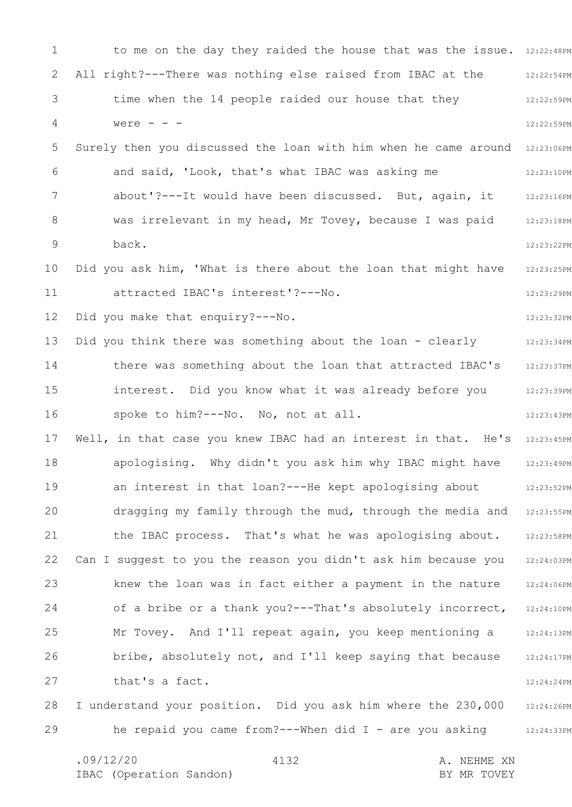1 2 3 4 5 6 7 8 9 10 11 12 13 14 15 16 17 18 19 20 21 22 23 24 25 26 27 28 29 to me on the day they raided the house that was the issue. 12:22:48PM 12:22:54PM 12:22:59PM 12:22:59PM 12:23:06PM 12:23:10PM 12:23:16PM 12:23:18PM 12:23:22PM 12:23:25PM 12:23:29PM 12:23:32PM 12:23:34PM 12:23:37PM 12:23:39PM 12:23:43PM 12:23:45PM 12:23:49PM 12:23:52PM 12:23:55PM 12:23:58PM 12:24:03PM 12:24:06PM 12:24:10PM 12:24:13PM 12:24:17PM 12:24:24PM 12:24:26PM 12:24:33PM All right?---There was nothing else raised from IBAC at the time when the 14 people raided our house that they were  $- -$ Surely then you discussed the loan with him when he came around and said, 'Look, that's what IBAC was asking me about'?---It would have been discussed. But, again, it was irrelevant in my head, Mr Tovey, because I was paid back. Did you ask him, 'What is there about the loan that might have attracted IBAC's interest'?---No. Did you make that enquiry?---No. Did you think there was something about the loan - clearly there was something about the loan that attracted IBAC's interest. Did you know what it was already before you spoke to him?---No. No, not at all. Well, in that case you knew IBAC had an interest in that. He's apologising. Why didn't you ask him why IBAC might have an interest in that loan?---He kept apologising about dragging my family through the mud, through the media and the IBAC process. That's what he was apologising about. Can I suggest to you the reason you didn't ask him because you knew the loan was in fact either a payment in the nature of a bribe or a thank you?---That's absolutely incorrect, Mr Tovey. And I'll repeat again, you keep mentioning a bribe, absolutely not, and I'll keep saying that because that's a fact. I understand your position. Did you ask him where the 230,000 he repaid you came from?---When did I - are you asking

4132

.09/12/20 4132 A. NEHME XN IBAC (Operation Sandon) and the set of the BY MR TOVEY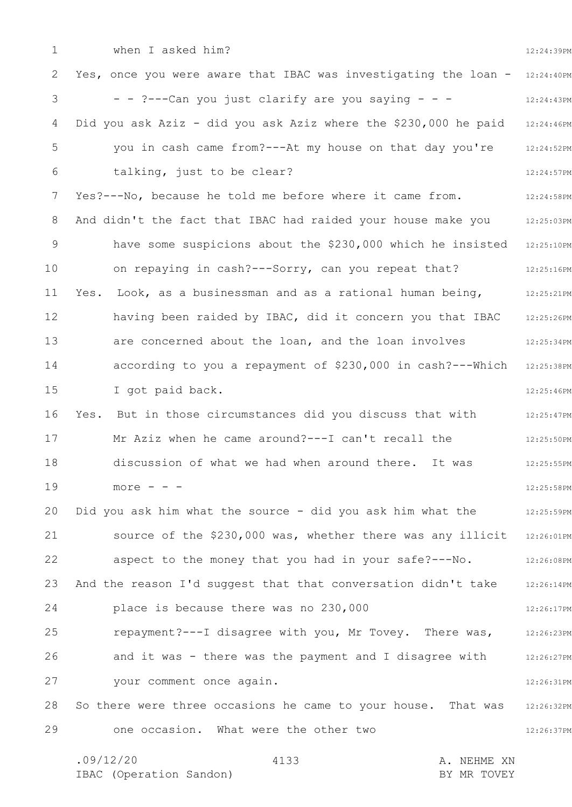1 2 3 4 5 6 7 8 9 10 11 12 13 14 15 16 17 18 19 20 21 22 23 24 25 26 27 28 29 12:24:39PM Yes, once you were aware that IBAC was investigating the loan - 12:24:40PM 12:24:43PM 12:24:46PM 12:24:52PM 12:24:57PM 12:24:58PM And didn't the fact that IBAC had raided your house make you and  $12:25:03PM$ have some suspicions about the \$230,000 which he insisted 12:25:10PM 12:25:16PM 12:25:21PM 12:25:26PM 12:25:34PM according to you a repayment of \$230,000 in cash?---Which 12:25:38PM 12:25:46PM Yes. But in those circumstances did you discuss that with  $12:25:47$ PM 12:25:50PM 12:25:55PM 12:25:58PM 12:25:59PM source of the \$230,000 was, whether there was any illicit 12:26:01PM 12:26:08PM 12:26:14PM 12:26:17PM 12:26:23PM 12:26:27PM 12:26:31PM 12:26:32PM 12:26:37PM when I asked him? - - ?---Can you just clarify are you saying - - - Did you ask Aziz - did you ask Aziz where the \$230,000 he paid you in cash came from?---At my house on that day you're talking, just to be clear? Yes?---No, because he told me before where it came from. on repaying in cash?---Sorry, can you repeat that? Yes. Look, as a businessman and as a rational human being, having been raided by IBAC, did it concern you that IBAC are concerned about the loan, and the loan involves I got paid back. Mr Aziz when he came around?---I can't recall the discussion of what we had when around there. It was  $more - - -$ Did you ask him what the source - did you ask him what the aspect to the money that you had in your safe?---No. And the reason I'd suggest that that conversation didn't take place is because there was no 230,000 repayment?---I disagree with you, Mr Tovey. There was, and it was - there was the payment and I disagree with your comment once again. So there were three occasions he came to your house. That was one occasion. What were the other two

| .09/12/20 |                         | 4133 |  | A. NEHME XN |             |  |
|-----------|-------------------------|------|--|-------------|-------------|--|
|           | IBAC (Operation Sandon) |      |  |             | BY MR TOVEY |  |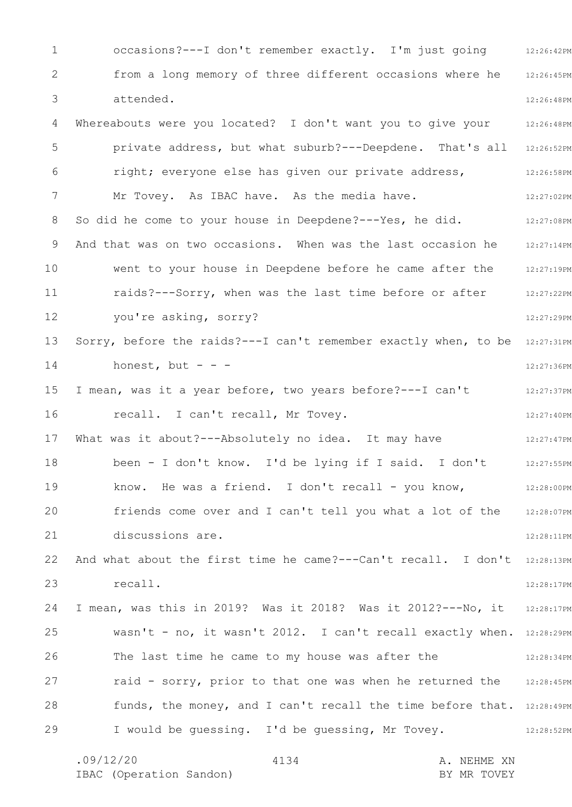1 2 3 4 5 6 7 8 9 10 11 12 13 14 15 16 17 18 19 20 21 22 23 24 25 26 27 28 29 occasions? --- I don't remember exactly. I'm just going 12:26:42PM 12:26:45PM 12:26:48PM Whereabouts were you located? I don't want you to give your 12:26:48PM private address, but what suburb?---Deepdene. That's all 12:26:52PM 12:26:58PM 12:27:02PM 12:27:08PM 12:27:14PM 12:27:19PM 12:27:22PM 12:27:29PM Sorry, before the raids? --- I can't remember exactly when, to be 12:27:31PM 12:27:36PM 12:27:37PM 12:27:40PM 12:27:47PM 12:27:55PM 12:28:00PM 12:28:07PM 12:28:11PM And what about the first time he came?---Can't recall. I don't 12:28:13PM 12:28:17PM I mean, was this in 2019? Was it 2018? Was it 2012?---No, it 12:28:17PM wasn't - no, it wasn't 2012. I can't recall exactly when. 12:28:29PM 12:28:34PM raid - sorry, prior to that one was when he returned the 12:28:45PM funds, the money, and I can't recall the time before that. 12:28:49PM 12:28:52PM from a long memory of three different occasions where he attended. right; everyone else has given our private address, Mr Tovey. As IBAC have. As the media have. So did he come to your house in Deepdene?---Yes, he did. And that was on two occasions. When was the last occasion he went to your house in Deepdene before he came after the raids?---Sorry, when was the last time before or after you're asking, sorry? honest, but  $- -$ I mean, was it a year before, two years before?---I can't recall. I can't recall, Mr Tovey. What was it about?---Absolutely no idea. It may have been - I don't know. I'd be lying if I said. I don't know. He was a friend. I don't recall - you know, friends come over and I can't tell you what a lot of the discussions are. recall. The last time he came to my house was after the I would be guessing. I'd be guessing, Mr Tovey.

.09/12/20 4134 A. NEHME XN IBAC (Operation Sandon) BY MR TOVEY 4134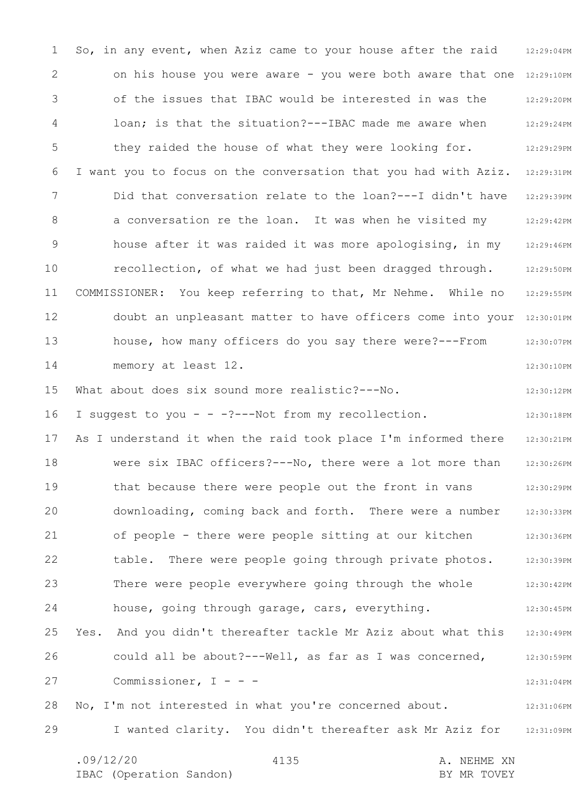1 2 3 4 5 6 7 8 9 10 11 12 13 14 15 16 17 18 19 20 21 22 23 24 25 26 27 28 29 So, in any event, when Aziz came to your house after the raid 12:29:04PM on his house you were aware - you were both aware that one 12:29:10PM 12:29:20PM 12:29:24PM 12:29:29PM I want you to focus on the conversation that you had with Aziz. 12:29:31PM 12:29:39PM 12:29:42PM 12:29:46PM 12:29:50PM 12:29:55PM doubt an unpleasant matter to have officers come into your 12:30:01PM 12:30:07PM 12:30:10PM 12:30:12PM 12:30:18PM 12:30:21PM 12:30:26PM 12:30:29PM 12:30:33PM 12:30:36PM 12:30:39PM 12:30:42PM 12:30:45PM 12:30:49PM 12:30:59PM 12:31:04PM 12:31:06PM I wanted clarity. You didn't thereafter ask Mr Aziz for 12:31:09PM .09/12/20 4135 4130 A. NEHME XN 4135 of the issues that IBAC would be interested in was the loan; is that the situation?---IBAC made me aware when they raided the house of what they were looking for. Did that conversation relate to the loan?---I didn't have a conversation re the loan. It was when he visited my house after it was raided it was more apologising, in my recollection, of what we had just been dragged through. COMMISSIONER: You keep referring to that, Mr Nehme. While no house, how many officers do you say there were?---From memory at least 12. What about does six sound more realistic?---No. I suggest to you - - -?---Not from my recollection. As I understand it when the raid took place I'm informed there were six IBAC officers?---No, there were a lot more than that because there were people out the front in vans downloading, coming back and forth. There were a number of people - there were people sitting at our kitchen table. There were people going through private photos. There were people everywhere going through the whole house, going through garage, cars, everything. Yes. And you didn't thereafter tackle Mr Aziz about what this could all be about?---Well, as far as I was concerned, Commissioner, I - - -No, I'm not interested in what you're concerned about.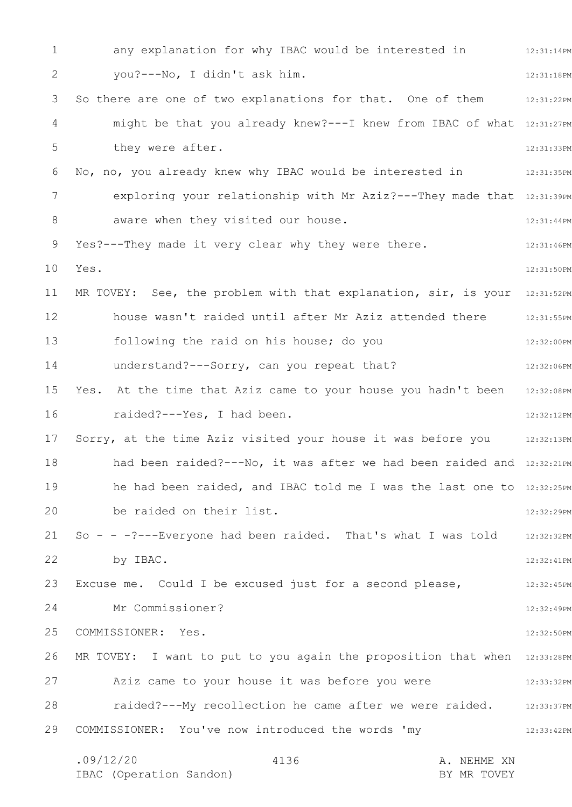1 2 3 4 5 6 7 8 9 10 11 12 13 14 15 16 17 18 19 20 21 22 23 24 25 26 27 28 29 any explanation for why IBAC would be interested in  $12:31:14PM$ 12:31:18PM So there are one of two explanations for that. One of them 12:31:22PM might be that you already knew?---I knew from IBAC of what 12:31:27PM 12:31:33PM 12:31:35PM exploring your relationship with Mr Aziz?---They made that 12:31:39PM 12:31:44PM 12:31:46PM 12:31:50PM MR TOVEY: See, the problem with that explanation, sir, is your 12:31:52PM house wasn't raided until after Mr Aziz attended there 12:31:55PM 12:32:00PM 12:32:06PM Yes. At the time that Aziz came to your house you hadn't been 12:32:08PM 12:32:12PM Sorry, at the time Aziz visited your house it was before you 12:32:13PM had been raided?---No, it was after we had been raided and 12:32:21PM he had been raided, and IBAC told me I was the last one to 12:32:25PM 12:32:29PM 12:32:32PM 12:32:41PM Excuse me. Could I be excused just for a second please,  $12:32:45PM$ 12:32:49PM 12:32:50PM MR TOVEY: I want to put to you again the proposition that when 12:33:28PM 12:33:32PM raided?---My recollection he came after we were raided. 12:33:37PM 12:33:42PM .09/12/20 4136 A. NEHME XN 4136 you?---No, I didn't ask him. they were after. No, no, you already knew why IBAC would be interested in aware when they visited our house. Yes?---They made it very clear why they were there. Yes. following the raid on his house; do you understand?---Sorry, can you repeat that? raided?---Yes, I had been. be raided on their list. So - - -?---Everyone had been raided. That's what I was told by IBAC. Mr Commissioner? COMMISSIONER: Yes. Aziz came to your house it was before you were COMMISSIONER: You've now introduced the words 'my

IBAC (Operation Sandon) BY MR TOVEY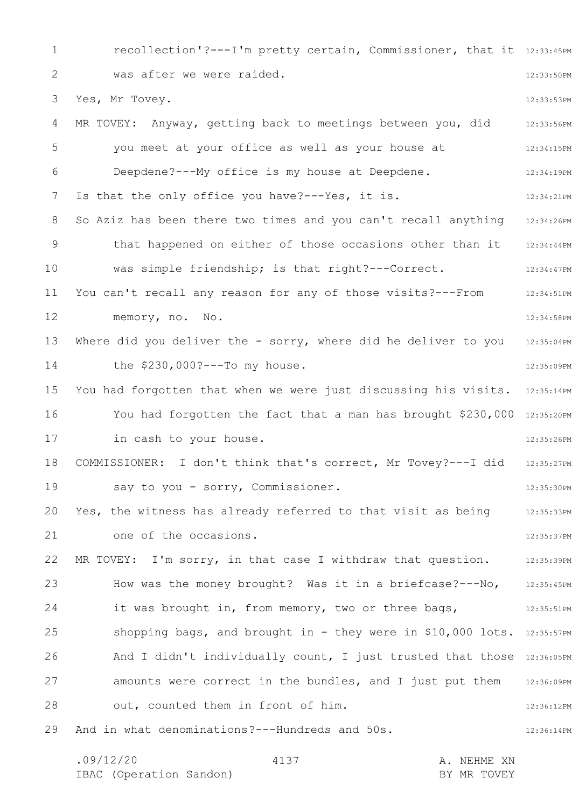1 2 3 4 5 6 7 8 9 10 11 12 13 14 15 16 17 18 19 20 21 22 23 24 25 26 27 28 29 recollection'?---I'm pretty certain, Commissioner, that it 12:33:45PM 12:33:50PM 12:33:53PM 12:33:56PM 12:34:15PM 12:34:19PM 12:34:21PM So Aziz has been there two times and you can't recall anything 12:34:26PM 12:34:44PM 12:34:47PM 12:34:51PM 12:34:58PM 12:35:04PM 12:35:09PM You had forgotten that when we were just discussing his visits. 12:35:14PM You had forgotten the fact that a man has brought \$230,000 12:35:20PM 12:35:26PM 12:35:27PM 12:35:30PM 12:35:33PM 12:35:37PM 12:35:39PM 12:35:45PM 12:35:51PM shopping bags, and brought in - they were in \$10,000 lots. 12:35:57PM And I didn't individually count, I just trusted that those 12:36:05PM 12:36:09PM 12:36:12PM 12:36:14PM was after we were raided. Yes, Mr Tovey. MR TOVEY: Anyway, getting back to meetings between you, did you meet at your office as well as your house at Deepdene?---My office is my house at Deepdene. Is that the only office you have?---Yes, it is. that happened on either of those occasions other than it was simple friendship; is that right?---Correct. You can't recall any reason for any of those visits?---From memory, no. No. Where did you deliver the - sorry, where did he deliver to you the \$230,000?---To my house. in cash to your house. COMMISSIONER: I don't think that's correct, Mr Tovey?---I did say to you - sorry, Commissioner. Yes, the witness has already referred to that visit as being one of the occasions. MR TOVEY: I'm sorry, in that case I withdraw that question. How was the money brought? Was it in a briefcase?---No, it was brought in, from memory, two or three bags, amounts were correct in the bundles, and I just put them out, counted them in front of him. And in what denominations?---Hundreds and 50s.

.09/12/20 4137 4137 A. NEHME XN IBAC (Operation Sandon) and the set of the BY MR TOVEY 4137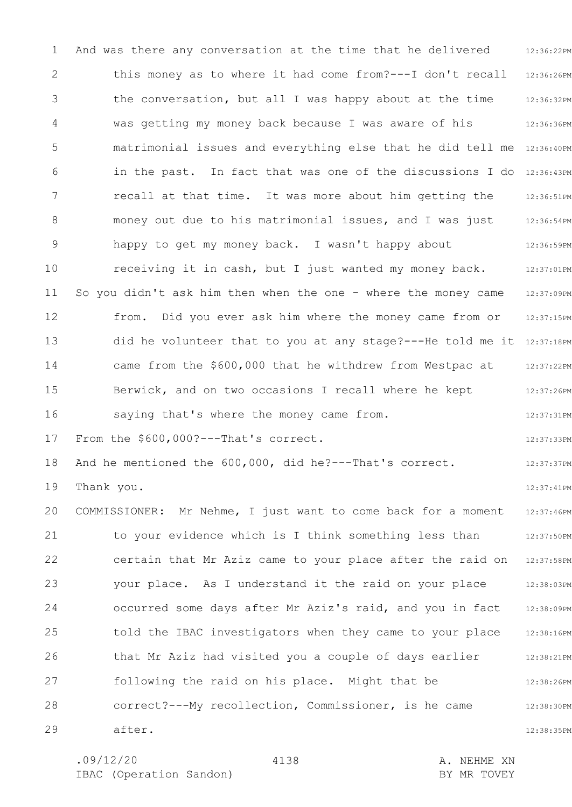1 2 3 4 5 6 7 8 9 10 11 12 13 14 15 16 17 18 19 20 21 22 23 24 25 26 27 28 29 12:36:22PM 12:36:26PM 12:36:32PM 12:36:36PM matrimonial issues and everything else that he did tell me 12:36:40PM in the past. In fact that was one of the discussions I do 12:36:43PM 12:36:51PM 12:36:54PM 12:36:59PM 12:37:01PM 12:37:09PM 12:37:15PM did he volunteer that to you at any stage?---He told me it 12:37:18PM 12:37:22PM 12:37:26PM 12:37:31PM 12:37:33PM 12:37:37PM 12:37:41PM 12:37:46PM 12:37:50PM 12:37:58PM 12:38:03PM 12:38:09PM 12:38:16PM 12:38:21PM 12:38:26PM 12:38:30PM 12:38:35PM And was there any conversation at the time that he delivered this money as to where it had come from?---I don't recall the conversation, but all I was happy about at the time was getting my money back because I was aware of his recall at that time. It was more about him getting the money out due to his matrimonial issues, and I was just happy to get my money back. I wasn't happy about receiving it in cash, but I just wanted my money back. So you didn't ask him then when the one - where the money came from. Did you ever ask him where the money came from or came from the \$600,000 that he withdrew from Westpac at Berwick, and on two occasions I recall where he kept saying that's where the money came from. From the \$600,000?---That's correct. And he mentioned the 600,000, did he?---That's correct. Thank you. COMMISSIONER: Mr Nehme, I just want to come back for a moment to your evidence which is I think something less than certain that Mr Aziz came to your place after the raid on your place. As I understand it the raid on your place occurred some days after Mr Aziz's raid, and you in fact told the IBAC investigators when they came to your place that Mr Aziz had visited you a couple of days earlier following the raid on his place. Might that be correct?---My recollection, Commissioner, is he came after.

4138

.09/12/20 4138 4139 A. NEHME XN IBAC (Operation Sandon) and the set of the BY MR TOVEY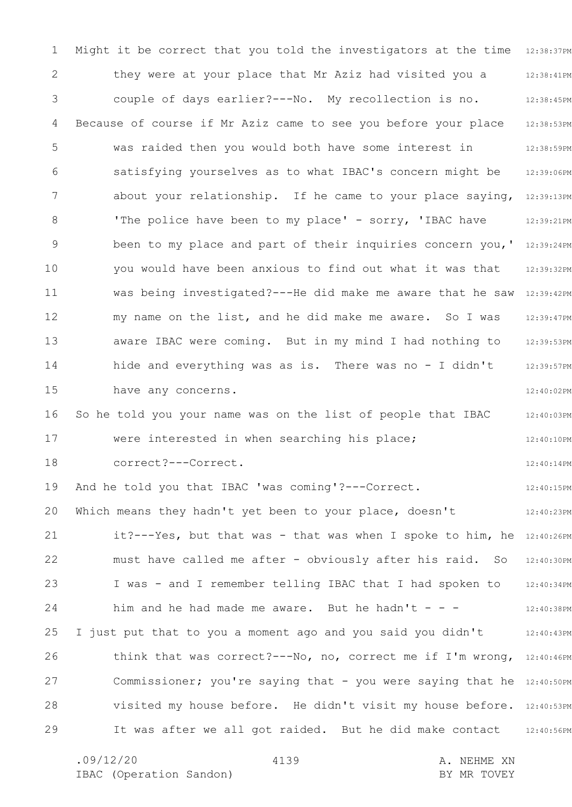1 2 3 4 5 6 7 8 9 10 11 12 13 14 15 16 17 18 19 20 21 22 23 24 25 26 27 28 29 Might it be correct that you told the investigators at the time 12:38:37PM 12:38:41PM 12:38:45PM 12:38:53PM 12:38:59PM 12:39:06PM about your relationship. If he came to your place saying, 12:39:13PM 12:39:21PM been to my place and part of their inquiries concern you,' 12:39:24PM 12:39:32PM was being investigated?---He did make me aware that he saw 12:39:42PM 12:39:47PM 12:39:53PM 12:39:57PM 12:40:02PM 12:40:03PM 12:40:10PM 12:40:14PM 12:40:15PM 12:40:23PM it?---Yes, but that was - that was when I spoke to him, he 12:40:26PM 12:40:30PM 12:40:34PM 12:40:38PM 12:40:43PM think that was correct?---No, no, correct me if I'm wrong, 12:40:46PM Commissioner; you're saying that - you were saying that he 12:40:50PM visited my house before. He didn't visit my house before. 12:40:53PM 12:40:56PM they were at your place that Mr Aziz had visited you a couple of days earlier?---No. My recollection is no. Because of course if Mr Aziz came to see you before your place was raided then you would both have some interest in satisfying yourselves as to what IBAC's concern might be 'The police have been to my place' - sorry, 'IBAC have you would have been anxious to find out what it was that my name on the list, and he did make me aware. So I was aware IBAC were coming. But in my mind I had nothing to hide and everything was as is. There was no - I didn't have any concerns. So he told you your name was on the list of people that IBAC were interested in when searching his place; correct?---Correct. And he told you that IBAC 'was coming'?---Correct. Which means they hadn't yet been to your place, doesn't must have called me after - obviously after his raid. So I was - and I remember telling IBAC that I had spoken to him and he had made me aware. But he hadn't  $-$  -I just put that to you a moment ago and you said you didn't It was after we all got raided. But he did make contact

.09/12/20 4139 A. NEHME XN

4139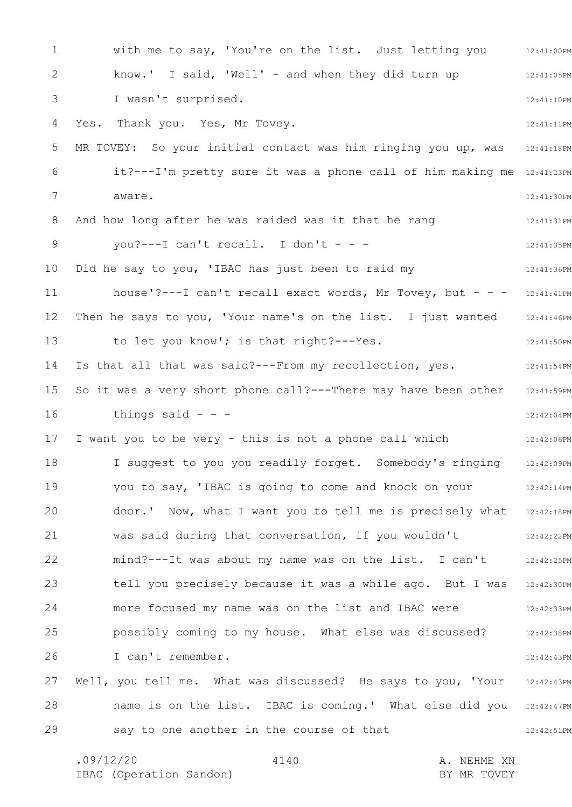1 2 3 4 5 6 7 8 9 10 11 12 13 14 15 16 17 18 19 20 21 22 23 24 25 26 27 28 29 12:41:00PM 12:41:05PM 12:41:10PM 12:41:11PM 12:41:18PM it?---I'm pretty sure it was a phone call of him making me 12:41:23PM 12:41:30PM 12:41:31PM 12:41:35PM 12:41:36PM house'?---I can't recall exact words, Mr Tovey, but - - - 12:41:41PM Then he says to you, 'Your name's on the list. I just wanted 12:41:46PM 12:41:50PM 12:41:54PM 12:41:59PM 12:42:04PM 12:42:06PM 12:42:09PM 12:42:14PM door.' Now, what I want you to tell me is precisely what 12:42:18PM 12:42:22PM 12:42:25PM tell you precisely because it was a while ago. But I was 12:42:30PM 12:42:33PM 12:42:38PM 12:42:43PM 12:42:43PM name is on the list. IBAC is coming.' What else did you 12:42:47PM 12:42:51PM .09/12/20 4140 A. NEHME XN 4140 with me to say, 'You're on the list. Just letting you know.' I said, 'Well' - and when they did turn up I wasn't surprised. Yes. Thank you. Yes, Mr Tovey. MR TOVEY: So your initial contact was him ringing you up, was aware. And how long after he was raided was it that he rang you?---I can't recall. I don't - - -Did he say to you, 'IBAC has just been to raid my to let you know'; is that right?---Yes. Is that all that was said?---From my recollection, yes. So it was a very short phone call?---There may have been other things said  $-$ I want you to be very - this is not a phone call which I suggest to you you readily forget. Somebody's ringing you to say, 'IBAC is going to come and knock on your was said during that conversation, if you wouldn't mind?---It was about my name was on the list. I can't more focused my name was on the list and IBAC were possibly coming to my house. What else was discussed? I can't remember. Well, you tell me. What was discussed? He says to you, 'Your say to one another in the course of that

IBAC (Operation Sandon) BY MR TOVEY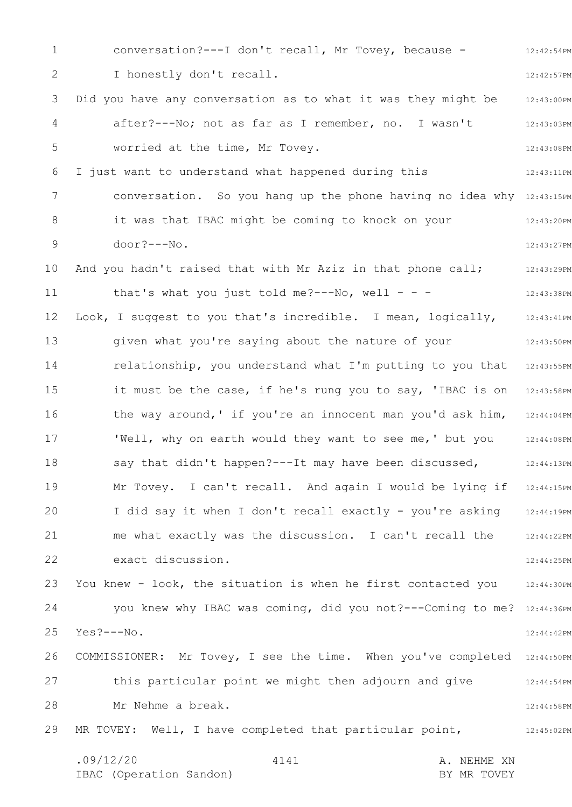1 2 3 4 5 6 7 8 9 10 11 12 13 14 15 16 17 18 19 20 21 22 23 24 25 26 27 28 29 12:42:54PM 12:42:57PM 12:43:00PM 12:43:03PM 12:43:08PM 12:43:11PM conversation. So you hang up the phone having no idea why 12:43:15PM 12:43:20PM 12:43:27PM 12:43:29PM 12:43:38PM Look, I suggest to you that's incredible. I mean, logically, 12:43:41PM 12:43:50PM 12:43:55PM it must be the case, if he's rung you to say, 'IBAC is on 12:43:58PM the way around, ' if you're an innocent man you'd ask him, 12:44:04PM 12:44:08PM 12:44:13PM Mr Tovey. I can't recall. And again I would be lying if 12:44:15PM 12:44:19PM 12:44:22PM 12:44:25PM You knew - look, the situation is when he first contacted you 12:44:30PM you knew why IBAC was coming, did you not?---Coming to me? 12:44:36PM 12:44:42PM COMMISSIONER: Mr Tovey, I see the time. When you've completed 12:44:50PM 12:44:54PM 12:44:58PM 12:45:02PM .09/12/20 4141 A. NEHME XN IBAC (Operation Sandon) BY MR TOVEY 4141 conversation?---I don't recall, Mr Tovey, because - I honestly don't recall. Did you have any conversation as to what it was they might be after?---No; not as far as I remember, no. I wasn't worried at the time, Mr Tovey. I just want to understand what happened during this it was that IBAC might be coming to knock on your door?---No. And you hadn't raised that with Mr Aziz in that phone call; that's what you just told me?---No, well - - given what you're saying about the nature of your relationship, you understand what I'm putting to you that 'Well, why on earth would they want to see me,' but you say that didn't happen?---It may have been discussed, I did say it when I don't recall exactly - you're asking me what exactly was the discussion. I can't recall the exact discussion. Yes?---No. this particular point we might then adjourn and give Mr Nehme a break. MR TOVEY: Well, I have completed that particular point,